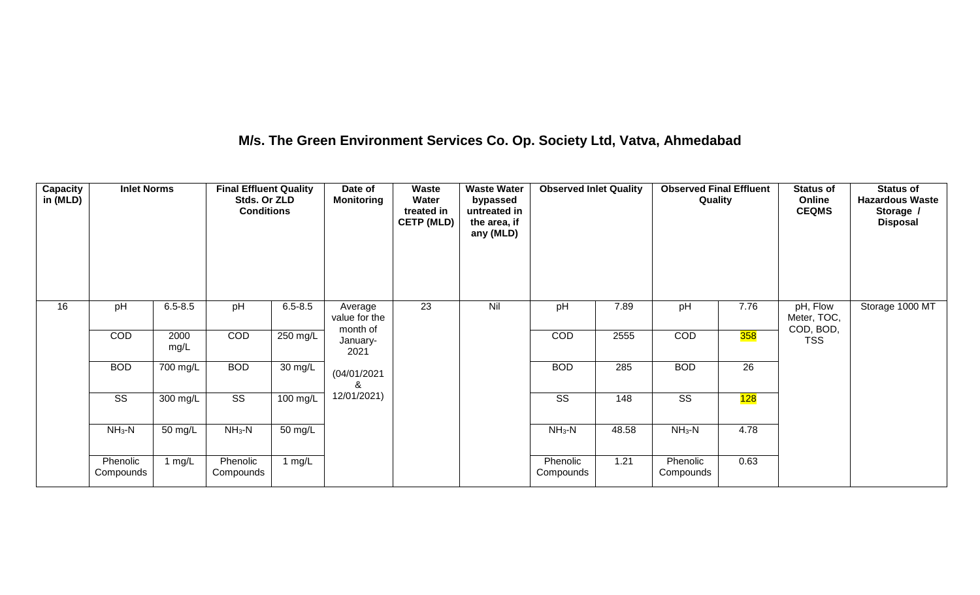## **M/s. The Green Environment Services Co. Op. Society Ltd, Vatva, Ahmedabad**

| <b>Capacity</b><br>in (MLD) | <b>Inlet Norms</b>     |              | <b>Final Effluent Quality</b><br>Stds. Or ZLD<br><b>Conditions</b> |                      | Date of<br><b>Monitoring</b>         | Waste<br>Water<br>treated in<br><b>CETP (MLD)</b> | <b>Waste Water</b><br>bypassed<br>untreated in<br>the area, if<br>any (MLD) | <b>Observed Inlet Quality</b> |       | <b>Observed Final Effluent</b><br>Quality |            | <b>Status of</b><br>Online<br><b>CEQMS</b> | <b>Status of</b><br><b>Hazardous Waste</b><br>Storage /<br><b>Disposal</b> |
|-----------------------------|------------------------|--------------|--------------------------------------------------------------------|----------------------|--------------------------------------|---------------------------------------------------|-----------------------------------------------------------------------------|-------------------------------|-------|-------------------------------------------|------------|--------------------------------------------|----------------------------------------------------------------------------|
| 16                          | pH                     | $6.5 - 8.5$  | pH                                                                 | $6.5 - 8.5$          | Average<br>value for the<br>month of | 23                                                | Nil                                                                         | pH                            | 7.89  | pH                                        | 7.76       | pH, Flow<br>Meter, TOC,<br>COD, BOD,       | Storage 1000 MT                                                            |
|                             | COD                    | 2000<br>mg/L | COD                                                                | 250 mg/L             | January-<br>2021                     |                                                   |                                                                             | COD                           | 2555  | COD                                       | <b>358</b> | <b>TSS</b>                                 |                                                                            |
|                             | <b>BOD</b>             | 700 mg/L     | <b>BOD</b>                                                         | $\overline{30}$ mg/L | (04/01/2021)<br>&                    |                                                   |                                                                             | <b>BOD</b>                    | 285   | <b>BOD</b>                                | 26         |                                            |                                                                            |
|                             | $\overline{\text{ss}}$ | 300 mg/L     | $\overline{\text{SS}}$                                             | 100 mg/L             | 12/01/2021)                          |                                                   |                                                                             | $\overline{\text{SS}}$        | 148   | $\overline{\text{SS}}$                    | 128        |                                            |                                                                            |
|                             | $NH3-N$                | 50 mg/L      | $NH3-N$                                                            | 50 mg/L              |                                      |                                                   |                                                                             | $NH3-N$                       | 48.58 | $NH3-N$                                   | 4.78       |                                            |                                                                            |
|                             | Phenolic<br>Compounds  | 1 $mg/L$     | Phenolic<br>Compounds                                              | 1 $mg/L$             |                                      |                                                   |                                                                             | Phenolic<br>Compounds         | 1.21  | Phenolic<br>Compounds                     | 0.63       |                                            |                                                                            |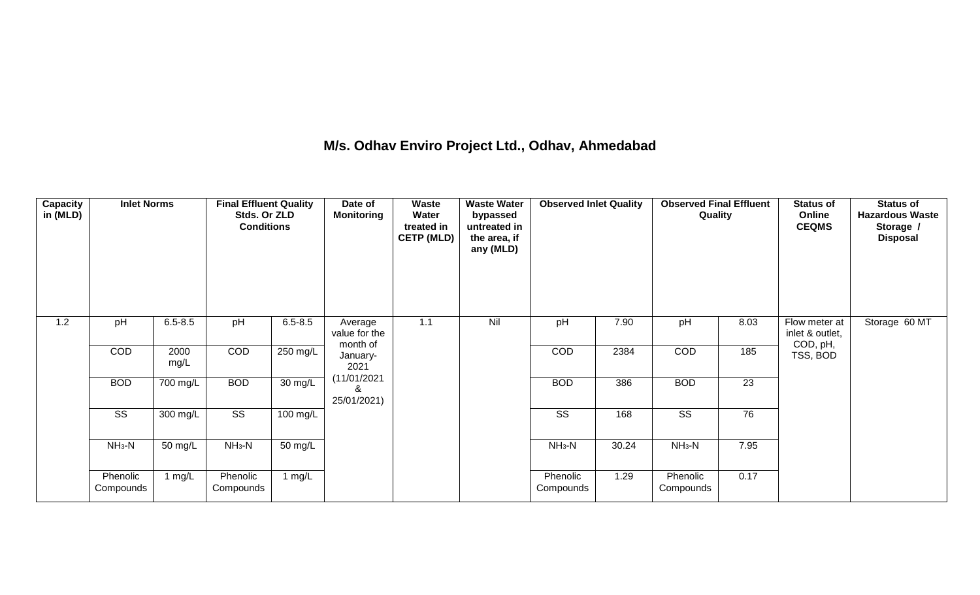## **M/s. Odhav Enviro Project Ltd., Odhav, Ahmedabad**

| Capacity<br>in (MLD) | <b>Inlet Norms</b>     |              | <b>Final Effluent Quality</b><br>Stds. Or ZLD<br><b>Conditions</b> |                      | Date of<br><b>Monitoring</b>         | Waste<br>Water<br>treated in<br><b>CETP (MLD)</b> | <b>Waste Water</b><br>bypassed<br>untreated in<br>the area, if<br>any (MLD) | <b>Observed Inlet Quality</b> |       | <b>Observed Final Effluent</b><br>Quality |      | <b>Status of</b><br>Online<br><b>CEQMS</b>   | <b>Status of</b><br><b>Hazardous Waste</b><br>Storage /<br><b>Disposal</b> |
|----------------------|------------------------|--------------|--------------------------------------------------------------------|----------------------|--------------------------------------|---------------------------------------------------|-----------------------------------------------------------------------------|-------------------------------|-------|-------------------------------------------|------|----------------------------------------------|----------------------------------------------------------------------------|
| 1.2                  | pH                     | $6.5 - 8.5$  | pH                                                                 | $6.5 - 8.5$          | Average<br>value for the<br>month of | 1.1                                               | Nil                                                                         | pH                            | 7.90  | pH                                        | 8.03 | Flow meter at<br>inlet & outlet,<br>COD, pH, | Storage 60 MT                                                              |
|                      | COD                    | 2000<br>mg/L | COD                                                                | $250 \text{ mg/L}$   | January-<br>2021                     |                                                   |                                                                             | COD                           | 2384  | COD                                       | 185  | TSS, BOD                                     |                                                                            |
|                      | <b>BOD</b>             | 700 mg/L     | <b>BOD</b>                                                         | $\overline{30}$ mg/L | (11/01/2021)<br>&<br>25/01/2021)     |                                                   |                                                                             | <b>BOD</b>                    | 386   | <b>BOD</b>                                | 23   |                                              |                                                                            |
|                      | $\overline{\text{ss}}$ | 300 mg/L     | $\overline{\text{ss}}$                                             | $100 \text{ mg/L}$   |                                      |                                                   |                                                                             | $\overline{\text{ss}}$        | 168   | $\overline{\text{ss}}$                    | 76   |                                              |                                                                            |
|                      | $NH3-N$                | 50 mg/L      | $NH3-N$                                                            | 50 mg/L              |                                      |                                                   |                                                                             | $NH3-N$                       | 30.24 | $NH3-N$                                   | 7.95 |                                              |                                                                            |
|                      | Phenolic<br>Compounds  | 1 $mg/L$     | Phenolic<br>Compounds                                              | 1 $mg/L$             |                                      |                                                   |                                                                             | Phenolic<br>Compounds         | 1.29  | Phenolic<br>Compounds                     | 0.17 |                                              |                                                                            |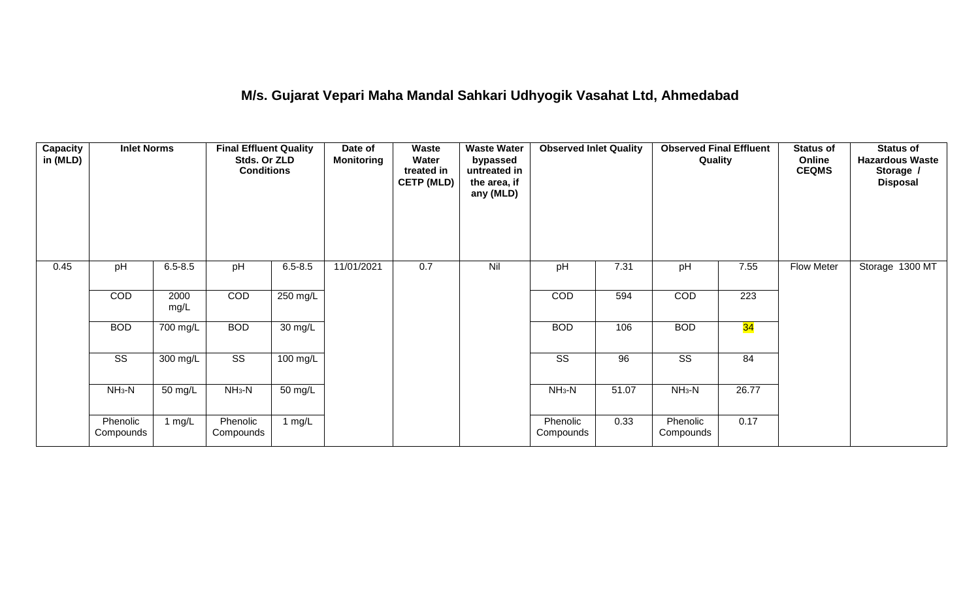## **M/s. Gujarat Vepari Maha Mandal Sahkari Udhyogik Vasahat Ltd, Ahmedabad**

| <b>Capacity</b><br>in (MLD) | <b>Inlet Norms</b>     |                   | <b>Final Effluent Quality</b><br>Stds. Or ZLD<br><b>Conditions</b> |                   | Date of<br><b>Monitoring</b> | Waste<br>Water<br>treated in<br><b>CETP (MLD)</b> | <b>Waste Water</b><br>bypassed<br>untreated in<br>the area, if<br>any (MLD) | <b>Observed Inlet Quality</b> |       | <b>Observed Final Effluent</b><br>Quality |       | <b>Status of</b><br>Online<br><b>CEQMS</b> | <b>Status of</b><br><b>Hazardous Waste</b><br>Storage /<br><b>Disposal</b> |
|-----------------------------|------------------------|-------------------|--------------------------------------------------------------------|-------------------|------------------------------|---------------------------------------------------|-----------------------------------------------------------------------------|-------------------------------|-------|-------------------------------------------|-------|--------------------------------------------|----------------------------------------------------------------------------|
| 0.45                        | pH                     | $6.5 - 8.5$       | pH                                                                 | $6.5 - 8.5$       | 11/01/2021                   | 0.7                                               | Nil                                                                         | pH                            | 7.31  | pH                                        | 7.55  | Flow Meter                                 | Storage 1300 MT                                                            |
|                             | COD                    | 2000<br>mg/L      | COD                                                                | $250$ mg/L        |                              |                                                   |                                                                             | COD                           | 594   | COD                                       | 223   |                                            |                                                                            |
|                             | <b>BOD</b>             | 700 mg/L          | <b>BOD</b>                                                         | 30 mg/L           |                              |                                                   |                                                                             | <b>BOD</b>                    | 106   | <b>BOD</b>                                | 34    |                                            |                                                                            |
|                             | $\overline{\text{ss}}$ | 300 mg/L          | $\overline{\text{ss}}$                                             | $100$ mg/L        |                              |                                                   |                                                                             | $\overline{\text{SS}}$        | 96    | $\overline{\text{SS}}$                    | 84    |                                            |                                                                            |
|                             | $NH3-N$                | $50 \text{ mg/L}$ | $NH3-N$                                                            | $50 \text{ mg/L}$ |                              |                                                   |                                                                             | $NH3-N$                       | 51.07 | $NH3-N$                                   | 26.77 |                                            |                                                                            |
|                             | Phenolic<br>Compounds  | 1 mg/L            | Phenolic<br>Compounds                                              | 1 mg/L            |                              |                                                   |                                                                             | Phenolic<br>Compounds         | 0.33  | Phenolic<br>Compounds                     | 0.17  |                                            |                                                                            |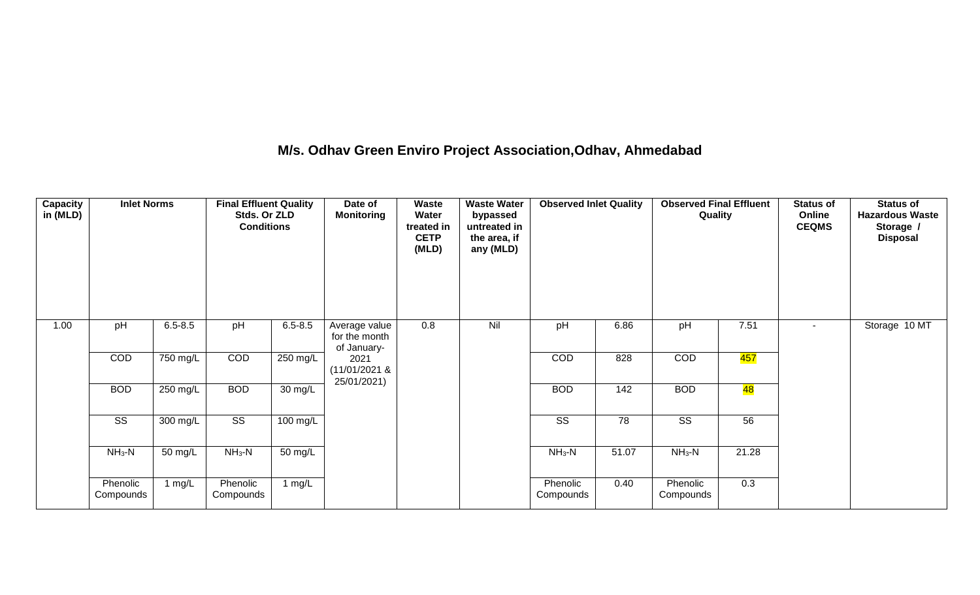## **M/s. Odhav Green Enviro Project Association,Odhav, Ahmedabad**

| <b>Capacity</b><br>in (MLD) | <b>Inlet Norms</b>     |             | <b>Final Effluent Quality</b><br>Stds. Or ZLD<br><b>Conditions</b> |             | Date of<br><b>Monitoring</b>                  | Waste<br>Water<br>treated in<br><b>CETP</b><br>(MLD) | <b>Waste Water</b><br>bypassed<br>untreated in<br>the area, if<br>any (MLD) | <b>Observed Inlet Quality</b> |       | <b>Observed Final Effluent</b><br>Quality |                 | <b>Status of</b><br>Online<br><b>CEQMS</b> | <b>Status of</b><br><b>Hazardous Waste</b><br>Storage /<br><b>Disposal</b> |
|-----------------------------|------------------------|-------------|--------------------------------------------------------------------|-------------|-----------------------------------------------|------------------------------------------------------|-----------------------------------------------------------------------------|-------------------------------|-------|-------------------------------------------|-----------------|--------------------------------------------|----------------------------------------------------------------------------|
| 1.00                        | pH                     | $6.5 - 8.5$ | pH                                                                 | $6.5 - 8.5$ | Average value<br>for the month<br>of January- | 0.8                                                  | Nil                                                                         | pH                            | 6.86  | pH                                        | 7.51            | $\sim$                                     | Storage 10 MT                                                              |
|                             | COD                    | 750 mg/L    | COD                                                                | 250 mg/L    | 2021<br>$(11/01/2021$ &                       |                                                      |                                                                             | COD                           | 828   | COD                                       | 457             |                                            |                                                                            |
|                             | <b>BOD</b>             | 250 mg/L    | <b>BOD</b>                                                         | 30 mg/L     | 25/01/2021)                                   |                                                      |                                                                             | <b>BOD</b>                    | 142   | <b>BOD</b>                                | <mark>48</mark> |                                            |                                                                            |
|                             | $\overline{\text{SS}}$ | 300 mg/L    | $\overline{\text{SS}}$                                             | 100 mg/L    |                                               |                                                      |                                                                             | $\overline{\text{ss}}$        | 78    | $\overline{\text{SS}}$                    | 56              |                                            |                                                                            |
|                             | $NH3-N$                | 50 mg/L     | $NH3-N$                                                            | 50 mg/L     |                                               |                                                      |                                                                             | $NH3-N$                       | 51.07 | $NH_3-N$                                  | 21.28           |                                            |                                                                            |
|                             | Phenolic<br>Compounds  | 1 $mg/L$    | Phenolic<br>Compounds                                              | 1 $mg/L$    |                                               |                                                      |                                                                             | Phenolic<br>Compounds         | 0.40  | Phenolic<br>Compounds                     | 0.3             |                                            |                                                                            |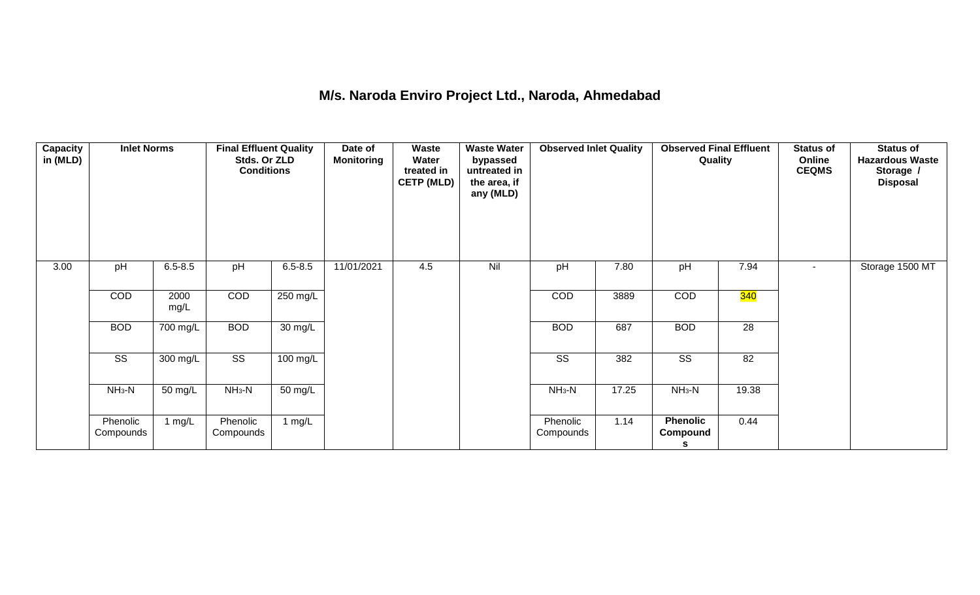#### **M/s. Naroda Enviro Project Ltd., Naroda, Ahmedabad**

| Capacity<br>in (MLD) | <b>Inlet Norms</b>     |                       | <b>Final Effluent Quality</b><br>Stds. Or ZLD<br><b>Conditions</b> |             | Date of<br><b>Monitoring</b> | Waste<br>Water<br>treated in<br><b>CETP (MLD)</b> | <b>Waste Water</b><br>bypassed<br>untreated in<br>the area, if<br>any (MLD) | <b>Observed Inlet Quality</b> |       | <b>Observed Final Effluent</b><br>Quality |                 | <b>Status of</b><br>Online<br><b>CEQMS</b> | <b>Status of</b><br><b>Hazardous Waste</b><br>Storage /<br><b>Disposal</b> |
|----------------------|------------------------|-----------------------|--------------------------------------------------------------------|-------------|------------------------------|---------------------------------------------------|-----------------------------------------------------------------------------|-------------------------------|-------|-------------------------------------------|-----------------|--------------------------------------------|----------------------------------------------------------------------------|
| 3.00                 | pH                     | $6.5 - 8.5$           | pH                                                                 | $6.5 - 8.5$ | 11/01/2021                   | 4.5                                               | Nil                                                                         | pH                            | 7.80  | pH                                        | 7.94            | $\blacksquare$                             | Storage 1500 MT                                                            |
|                      | <b>COD</b>             | 2000<br>mg/L          | COD                                                                | 250 mg/L    |                              |                                                   |                                                                             | COD                           | 3889  | COD                                       | <b>340</b>      |                                            |                                                                            |
|                      | <b>BOD</b>             | $\overline{700}$ mg/L | <b>BOD</b>                                                         | 30 mg/L     |                              |                                                   |                                                                             | <b>BOD</b>                    | 687   | <b>BOD</b>                                | $\overline{28}$ |                                            |                                                                            |
|                      | $\overline{\text{SS}}$ | 300 mg/L              | $\overline{\text{ss}}$                                             | 100 mg/L    |                              |                                                   |                                                                             | $\overline{\text{ss}}$        | 382   | $\overline{\text{ss}}$                    | 82              |                                            |                                                                            |
|                      | $NH3-N$                | 50 mg/L               | $NH3-N$                                                            | 50 mg/L     |                              |                                                   |                                                                             | $NH3-N$                       | 17.25 | $NH3-N$                                   | 19.38           |                                            |                                                                            |
|                      | Phenolic<br>Compounds  | 1 $mg/L$              | Phenolic<br>Compounds                                              | 1 $mg/L$    |                              |                                                   |                                                                             | Phenolic<br>Compounds         | 1.14  | <b>Phenolic</b><br>Compound<br>s          | 0.44            |                                            |                                                                            |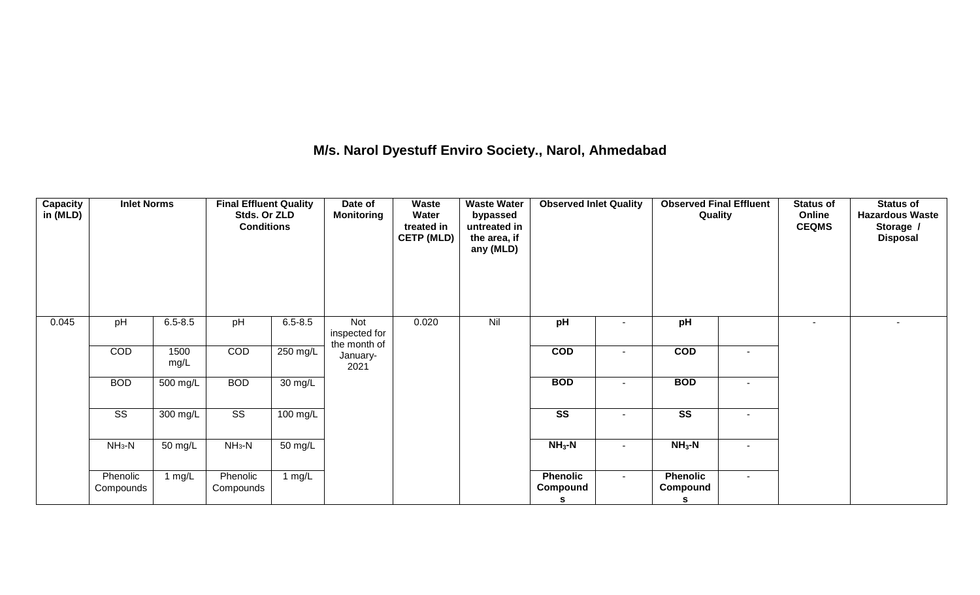## **M/s. Narol Dyestuff Enviro Society., Narol, Ahmedabad**

| <b>Capacity</b><br>in (MLD) | <b>Inlet Norms</b>     |              | <b>Final Effluent Quality</b><br>Stds. Or ZLD<br><b>Conditions</b> |                    | Date of<br><b>Monitoring</b>         | Waste<br>Water<br>treated in<br><b>CETP (MLD)</b> | <b>Waste Water</b><br>bypassed<br>untreated in<br>the area, if<br>any (MLD) | <b>Observed Inlet Quality</b>    |        | <b>Observed Final Effluent</b><br>Quality |                          | <b>Status of</b><br>Online<br><b>CEQMS</b> | <b>Status of</b><br><b>Hazardous Waste</b><br>Storage /<br><b>Disposal</b> |
|-----------------------------|------------------------|--------------|--------------------------------------------------------------------|--------------------|--------------------------------------|---------------------------------------------------|-----------------------------------------------------------------------------|----------------------------------|--------|-------------------------------------------|--------------------------|--------------------------------------------|----------------------------------------------------------------------------|
| 0.045                       | pH                     | $6.5 - 8.5$  | pH                                                                 | $6.5 - 8.5$        | Not<br>inspected for<br>the month of | 0.020                                             | Nil                                                                         | pH                               |        | pH                                        |                          | $\overline{\phantom{a}}$                   | $\overline{\phantom{a}}$                                                   |
|                             | COD                    | 1500<br>mg/L | COD                                                                | 250 mg/L           | January-<br>2021                     |                                                   |                                                                             | $\overline{COD}$                 | $\sim$ | $\overline{COD}$                          | $\sim$                   |                                            |                                                                            |
|                             | <b>BOD</b>             | 500 mg/L     | <b>BOD</b>                                                         | 30 mg/L            |                                      |                                                   |                                                                             | <b>BOD</b>                       |        | <b>BOD</b>                                | $\overline{\phantom{0}}$ |                                            |                                                                            |
|                             | $\overline{\text{ss}}$ | 300 mg/L     | $\overline{\text{ss}}$                                             | $100 \text{ mg/L}$ |                                      |                                                   |                                                                             | $\overline{\text{ss}}$           | $\sim$ | $\overline{\text{ss}}$                    | $\sim$                   |                                            |                                                                            |
|                             | $NH3-N$                | 50 mg/L      | $NH3-N$                                                            | 50 mg/L            |                                      |                                                   |                                                                             | $NH3-N$                          | $\sim$ | $NH3$ -N                                  | $\sim$                   |                                            |                                                                            |
|                             | Phenolic<br>Compounds  | 1 $mg/L$     | Phenolic<br>Compounds                                              | 1 mg/L             |                                      |                                                   |                                                                             | <b>Phenolic</b><br>Compound<br>s | $\sim$ | <b>Phenolic</b><br>Compound<br>s          | $\sim$                   |                                            |                                                                            |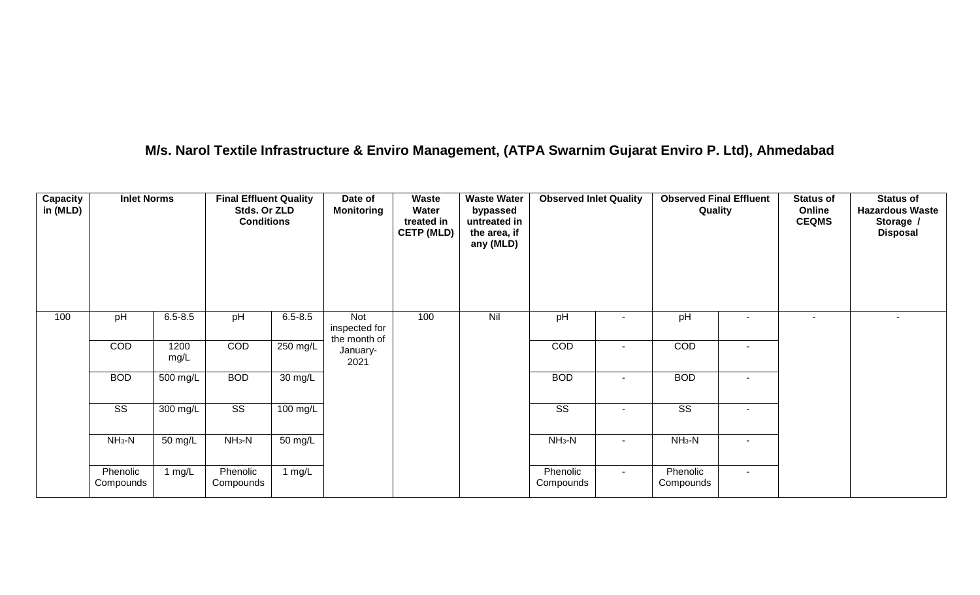## **M/s. Narol Textile Infrastructure & Enviro Management, (ATPA Swarnim Gujarat Enviro P. Ltd), Ahmedabad**

| Capacity<br>in (MLD) | <b>Inlet Norms</b>     |                    | <b>Final Effluent Quality</b><br>Stds. Or ZLD<br><b>Conditions</b> |                    | Date of<br><b>Monitoring</b>         | Waste<br>Water<br>treated in<br><b>CETP (MLD)</b> | <b>Waste Water</b><br>bypassed<br>untreated in<br>the area, if<br>any (MLD) | <b>Observed Inlet Quality</b> |        | <b>Observed Final Effluent</b><br>Quality |                          | <b>Status of</b><br>Online<br><b>CEQMS</b> | <b>Status of</b><br><b>Hazardous Waste</b><br>Storage /<br><b>Disposal</b> |
|----------------------|------------------------|--------------------|--------------------------------------------------------------------|--------------------|--------------------------------------|---------------------------------------------------|-----------------------------------------------------------------------------|-------------------------------|--------|-------------------------------------------|--------------------------|--------------------------------------------|----------------------------------------------------------------------------|
| 100                  | pH                     | $6.5 - 8.5$        | pH                                                                 | $6.5 - 8.5$        | Not<br>inspected for<br>the month of | 100                                               | Nil                                                                         | pH                            |        | pH                                        | ۰                        |                                            | $\blacksquare$                                                             |
|                      | COD                    | 1200<br>mg/L       | COD                                                                | 250 mg/L           | January-<br>2021                     |                                                   |                                                                             | COD                           | $\sim$ | COD                                       | ۰                        |                                            |                                                                            |
|                      | <b>BOD</b>             | 500 mg/L           | <b>BOD</b>                                                         | 30 mg/L            |                                      |                                                   |                                                                             | <b>BOD</b>                    | $\sim$ | <b>BOD</b>                                | $\overline{\phantom{a}}$ |                                            |                                                                            |
|                      | $\overline{\text{SS}}$ | $300 \text{ mg/L}$ | $\overline{\text{SS}}$                                             | $100 \text{ mg/L}$ |                                      |                                                   |                                                                             | $\overline{\text{SS}}$        | $\sim$ | $\overline{\text{SS}}$                    | $\overline{\phantom{a}}$ |                                            |                                                                            |
|                      | $NH3-N$                | 50 mg/L            | $NH3-N$                                                            | 50 mg/L            |                                      |                                                   |                                                                             | $NH_3-N$                      | $\sim$ | $NH3-N$                                   | ۰                        |                                            |                                                                            |
|                      | Phenolic<br>Compounds  | 1 $mg/L$           | Phenolic<br>Compounds                                              | 1 $mg/L$           |                                      |                                                   |                                                                             | Phenolic<br>Compounds         | $\sim$ | Phenolic<br>Compounds                     | $\sim$                   |                                            |                                                                            |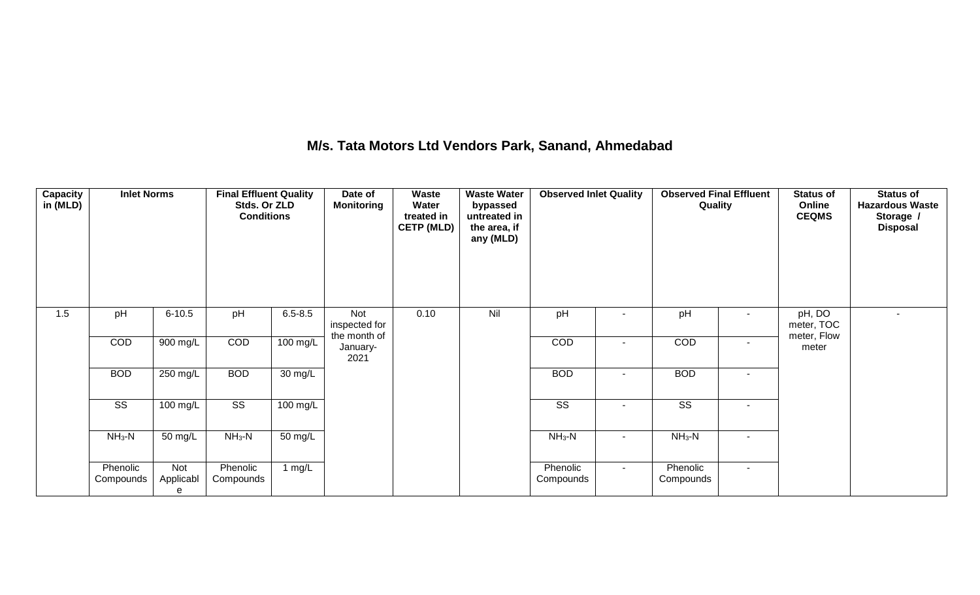## **M/s. Tata Motors Ltd Vendors Park, Sanand, Ahmedabad**

| <b>Capacity</b><br>in (MLD) | <b>Inlet Norms</b>     |                       | <b>Final Effluent Quality</b><br>Stds. Or ZLD<br><b>Conditions</b> |                    | Date of<br><b>Monitoring</b>         | <b>Waste</b><br>Water<br>treated in<br><b>CETP (MLD)</b> | <b>Waste Water</b><br>bypassed<br>untreated in<br>the area, if<br>any (MLD) | <b>Observed Inlet Quality</b> |        | <b>Observed Final Effluent</b><br>Quality |                          | <b>Status of</b><br>Online<br><b>CEQMS</b> | <b>Status of</b><br><b>Hazardous Waste</b><br>Storage /<br><b>Disposal</b> |
|-----------------------------|------------------------|-----------------------|--------------------------------------------------------------------|--------------------|--------------------------------------|----------------------------------------------------------|-----------------------------------------------------------------------------|-------------------------------|--------|-------------------------------------------|--------------------------|--------------------------------------------|----------------------------------------------------------------------------|
| 1.5                         | pH                     | $6 - 10.5$            | pH                                                                 | $6.5 - 8.5$        | Not<br>inspected for<br>the month of | 0.10                                                     | Nil                                                                         | pH                            |        | pH                                        | $\overline{\phantom{a}}$ | pH, DO<br>meter, TOC<br>meter, Flow        |                                                                            |
|                             | COD                    | 900 mg/L              | COD                                                                | 100 mg/L           | January-<br>2021                     |                                                          |                                                                             | COD                           | $\sim$ | COD                                       | $\sim$                   | meter                                      |                                                                            |
|                             | <b>BOD</b>             | 250 mg/L              | <b>BOD</b>                                                         | 30 mg/L            |                                      |                                                          |                                                                             | <b>BOD</b>                    |        | <b>BOD</b>                                | $\sim$                   |                                            |                                                                            |
|                             | $\overline{\text{SS}}$ | 100 mg/L              | $\overline{\text{ss}}$                                             | $100 \text{ mg/L}$ |                                      |                                                          |                                                                             | $\overline{\text{SS}}$        | $\sim$ | $\overline{\text{SS}}$                    | $\sim$                   |                                            |                                                                            |
|                             | $NH3-N$                | 50 mg/L               | $NH3-N$                                                            | 50 mg/L            |                                      |                                                          |                                                                             | $NH3-N$                       | $\sim$ | $NH3-N$                                   | $\sim$                   |                                            |                                                                            |
|                             | Phenolic<br>Compounds  | Not<br>Applicabl<br>е | Phenolic<br>Compounds                                              | 1 $mg/L$           |                                      |                                                          |                                                                             | Phenolic<br>Compounds         | $\sim$ | Phenolic<br>Compounds                     | $\sim$                   |                                            |                                                                            |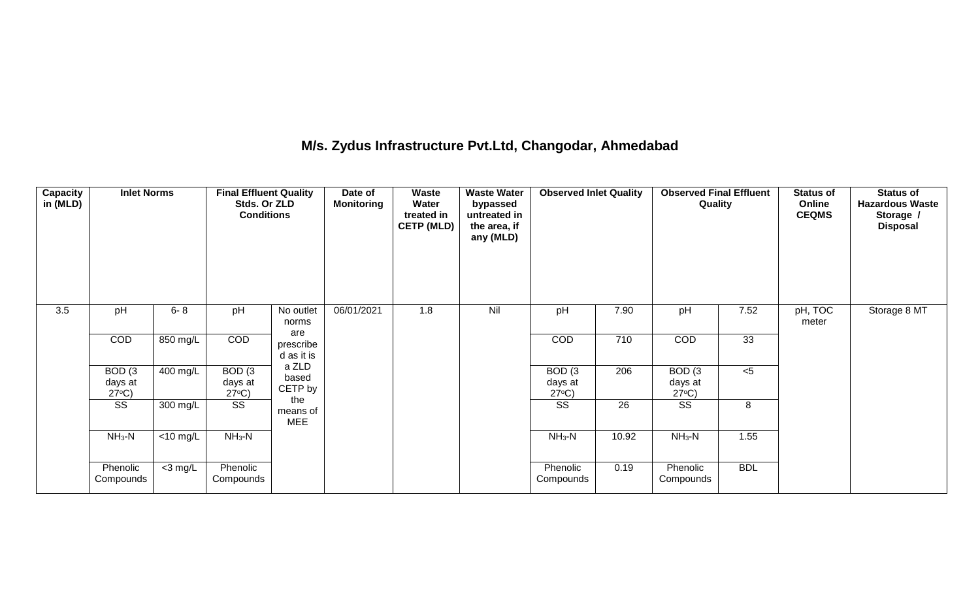## **M/s. Zydus Infrastructure Pvt.Ltd, Changodar, Ahmedabad**

| <b>Capacity</b><br>in (MLD) | <b>Inlet Norms</b>                              |             | <b>Final Effluent Quality</b><br>Stds. Or ZLD<br><b>Conditions</b> |                                | Date of<br><b>Monitoring</b> | Waste<br>Water<br>treated in<br><b>CETP (MLD)</b> | <b>Waste Water</b><br>bypassed<br>untreated in<br>the area, if<br>any (MLD) | <b>Observed Inlet Quality</b>                   |                 | <b>Observed Final Effluent</b><br>Quality       |            | <b>Status of</b><br>Online<br><b>CEQMS</b> | <b>Status of</b><br><b>Hazardous Waste</b><br>Storage /<br><b>Disposal</b> |
|-----------------------------|-------------------------------------------------|-------------|--------------------------------------------------------------------|--------------------------------|------------------------------|---------------------------------------------------|-----------------------------------------------------------------------------|-------------------------------------------------|-----------------|-------------------------------------------------|------------|--------------------------------------------|----------------------------------------------------------------------------|
| 3.5                         | pH                                              | $6 - 8$     | pH                                                                 | No outlet<br>norms             | 06/01/2021                   | 1.8                                               | Nil                                                                         | pH                                              | 7.90            | pH                                              | 7.52       | pH, TOC<br>meter                           | Storage 8 MT                                                               |
|                             | COD                                             | 850 mg/L    | COD                                                                | are<br>prescribe<br>d as it is |                              |                                                   |                                                                             | <b>COD</b>                                      | 710             | COD                                             | 33         |                                            |                                                                            |
|                             | BOD <sub>(3</sub><br>days at<br>$27^{\circ}C$ ) | 400 mg/L    | BOD <sub>(3</sub><br>days at<br>$27^{\circ}C$ )                    | a ZLD<br>based<br>CETP by      |                              |                                                   |                                                                             | BOD <sub>(3</sub><br>days at<br>$27^{\circ}C$ ) | 206             | BOD <sub>(3</sub><br>days at<br>$27^{\circ}C$ ) | $< 5$      |                                            |                                                                            |
|                             | $\overline{\text{SS}}$                          | 300 mg/L    | $\overline{\text{ss}}$                                             | the<br>means of<br><b>MEE</b>  |                              |                                                   |                                                                             | $\overline{\text{SS}}$                          | $\overline{26}$ | $\overline{\text{SS}}$                          | 8          |                                            |                                                                            |
|                             | $NH3-N$                                         | $<$ 10 mg/L | $NH_3-N$                                                           |                                |                              |                                                   |                                                                             | $NH3-N$                                         | 10.92           | $NH3-N$                                         | 1.55       |                                            |                                                                            |
|                             | Phenolic<br>Compounds                           | $<$ 3 mg/L  | Phenolic<br>Compounds                                              |                                |                              |                                                   |                                                                             | Phenolic<br>Compounds                           | 0.19            | Phenolic<br>Compounds                           | <b>BDL</b> |                                            |                                                                            |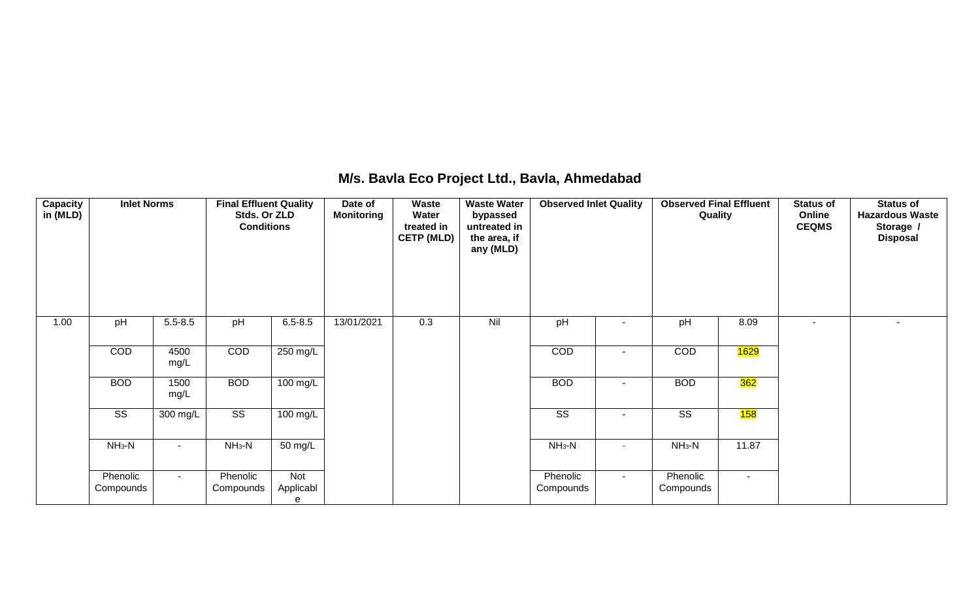## **M/s. Bavla Eco Project Ltd., Bavla, Ahmedabad**

| Capacity<br>in (MLD) | <b>Inlet Norms</b>     |              | <b>Final Effluent Quality</b><br>Stds. Or ZLD<br><b>Conditions</b> |                       | Date of<br><b>Monitoring</b> | Waste<br>Water<br>treated in<br><b>CETP (MLD)</b> | <b>Waste Water</b><br>bypassed<br>untreated in<br>the area, if<br>any (MLD) | <b>Observed Inlet Quality</b> |        | <b>Observed Final Effluent</b><br>Quality |        | <b>Status of</b><br>Online<br><b>CEQMS</b> | <b>Status of</b><br><b>Hazardous Waste</b><br>Storage /<br><b>Disposal</b> |
|----------------------|------------------------|--------------|--------------------------------------------------------------------|-----------------------|------------------------------|---------------------------------------------------|-----------------------------------------------------------------------------|-------------------------------|--------|-------------------------------------------|--------|--------------------------------------------|----------------------------------------------------------------------------|
| 1.00                 | pH                     | $5.5 - 8.5$  | pH                                                                 | $6.5 - 8.5$           | 13/01/2021                   | 0.3                                               | Nil                                                                         | pH                            |        | pH                                        | 8.09   | $\overline{\phantom{a}}$                   | $\sim$                                                                     |
|                      | COD                    | 4500<br>mg/L | COD                                                                | 250 mg/L              |                              |                                                   |                                                                             | COD                           | ۰      | COD                                       | 1629   |                                            |                                                                            |
|                      | <b>BOD</b>             | 1500<br>mg/L | <b>BOD</b>                                                         | 100 mg/L              |                              |                                                   |                                                                             | <b>BOD</b>                    |        | <b>BOD</b>                                | 362    |                                            |                                                                            |
|                      | $\overline{\text{ss}}$ | 300 mg/L     | $\overline{\text{SS}}$                                             | $100$ mg/L            |                              |                                                   |                                                                             | $\overline{\text{SS}}$        |        | $\overline{\text{SS}}$                    | 158    |                                            |                                                                            |
|                      | $NH3-N$                | $\sim$       | $NH3-N$                                                            | 50 mg/L               |                              |                                                   |                                                                             | $NH3-N$                       | ÷      | $NH3-N$                                   | 11.87  |                                            |                                                                            |
|                      | Phenolic<br>Compounds  | $\sim$       | Phenolic<br>Compounds                                              | Not<br>Applicabl<br>е |                              |                                                   |                                                                             | Phenolic<br>Compounds         | $\sim$ | Phenolic<br>Compounds                     | $\sim$ |                                            |                                                                            |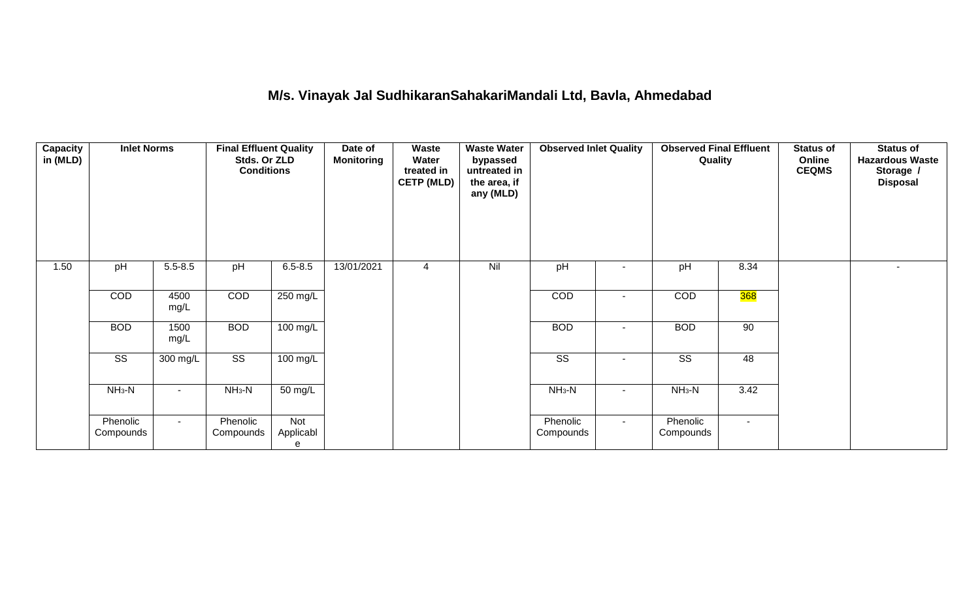#### **M/s. Vinayak Jal SudhikaranSahakariMandali Ltd, Bavla, Ahmedabad**

| <b>Capacity</b><br>in (MLD) | <b>Inlet Norms</b>     |                          | <b>Final Effluent Quality</b><br>Stds. Or ZLD<br><b>Conditions</b> |                       | Date of<br><b>Monitoring</b> | Waste<br>Water<br>treated in<br><b>CETP (MLD)</b> | <b>Waste Water</b><br>bypassed<br>untreated in<br>the area, if<br>any (MLD) | <b>Observed Inlet Quality</b> |                | <b>Observed Final Effluent</b><br>Quality |            | <b>Status of</b><br>Online<br><b>CEQMS</b> | <b>Status of</b><br><b>Hazardous Waste</b><br>Storage /<br><b>Disposal</b> |
|-----------------------------|------------------------|--------------------------|--------------------------------------------------------------------|-----------------------|------------------------------|---------------------------------------------------|-----------------------------------------------------------------------------|-------------------------------|----------------|-------------------------------------------|------------|--------------------------------------------|----------------------------------------------------------------------------|
| 1.50                        | pH                     | $5.5 - 8.5$              | pH                                                                 | $6.5 - 8.5$           | 13/01/2021                   | 4                                                 | Nil                                                                         | pH                            | $\blacksquare$ | pH                                        | 8.34       |                                            | $\overline{\phantom{a}}$                                                   |
|                             | COD                    | 4500<br>mg/L             | COD                                                                | 250 mg/L              |                              |                                                   |                                                                             | <b>COD</b>                    | $\blacksquare$ | <b>COD</b>                                | <b>368</b> |                                            |                                                                            |
|                             | <b>BOD</b>             | 1500<br>mg/L             | <b>BOD</b>                                                         | 100 mg/L              |                              |                                                   |                                                                             | <b>BOD</b>                    | ۰              | <b>BOD</b>                                | 90         |                                            |                                                                            |
|                             | $\overline{\text{ss}}$ | 300 mg/L                 | $\overline{\text{SS}}$                                             | 100 mg/L              |                              |                                                   |                                                                             | $\overline{\text{ss}}$        | ٠              | $\overline{\text{SS}}$                    | 48         |                                            |                                                                            |
|                             | $NH3-N$                | $\overline{\phantom{a}}$ | $NH3-N$                                                            | 50 mg/L               |                              |                                                   |                                                                             | $NH3-N$                       | $\sim$         | $NH3-N$                                   | 3.42       |                                            |                                                                            |
|                             | Phenolic<br>Compounds  | $\blacksquare$           | Phenolic<br>Compounds                                              | Not<br>Applicabl<br>е |                              |                                                   |                                                                             | Phenolic<br>Compounds         | $\sim$         | Phenolic<br>Compounds                     |            |                                            |                                                                            |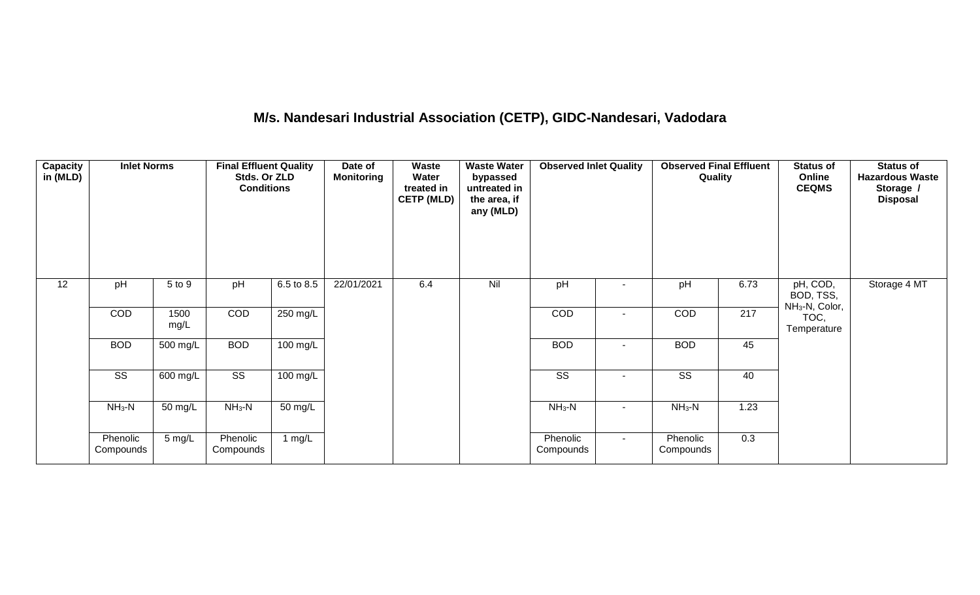# **M/s. Nandesari Industrial Association (CETP), GIDC-Nandesari, Vadodara**

| Capacity<br>in (MLD) | <b>Inlet Norms</b>     |                       | <b>Final Effluent Quality</b><br>Stds. Or ZLD<br><b>Conditions</b> |                    | Date of<br><b>Monitoring</b> | Waste<br>Water<br>treated in<br><b>CETP (MLD)</b> | <b>Waste Water</b><br>bypassed<br>untreated in<br>the area, if<br>any (MLD) | <b>Observed Inlet Quality</b> |        | <b>Observed Final Effluent</b><br>Quality |      | <b>Status of</b><br>Online<br><b>CEQMS</b>          | <b>Status of</b><br><b>Hazardous Waste</b><br>Storage /<br><b>Disposal</b> |
|----------------------|------------------------|-----------------------|--------------------------------------------------------------------|--------------------|------------------------------|---------------------------------------------------|-----------------------------------------------------------------------------|-------------------------------|--------|-------------------------------------------|------|-----------------------------------------------------|----------------------------------------------------------------------------|
| 12                   | pH                     | 5 to 9                | pH                                                                 | 6.5 to 8.5         | 22/01/2021                   | 6.4                                               | Nil                                                                         | pH                            |        | pH                                        | 6.73 | pH, COD,<br>BOD, TSS,<br>NH <sub>3</sub> -N, Color, | Storage 4 MT                                                               |
|                      | COD                    | 1500<br>mg/L          | COD                                                                | 250 mg/L           |                              |                                                   |                                                                             | COD                           |        | COD                                       | 217  | TOC,<br>Temperature                                 |                                                                            |
|                      | <b>BOD</b>             | 500 mg/L              | <b>BOD</b>                                                         | $100$ mg/L         |                              |                                                   |                                                                             | <b>BOD</b>                    | $\sim$ | <b>BOD</b>                                | 45   |                                                     |                                                                            |
|                      | $\overline{\text{ss}}$ | $\overline{600}$ mg/L | $\overline{\text{ss}}$                                             | $100 \text{ mg/L}$ |                              |                                                   |                                                                             | $\overline{\text{ss}}$        |        | $\overline{\text{SS}}$                    | 40   |                                                     |                                                                            |
|                      | $NH_3-N$               | 50 mg/L               | $NH3-N$                                                            | 50 mg/L            |                              |                                                   |                                                                             | $NH_3-N$                      |        | $NH_3-N$                                  | 1.23 |                                                     |                                                                            |
|                      | Phenolic<br>Compounds  | $5 \text{ mg/L}$      | Phenolic<br>Compounds                                              | 1 mg/L             |                              |                                                   |                                                                             | Phenolic<br>Compounds         | $\sim$ | Phenolic<br>Compounds                     | 0.3  |                                                     |                                                                            |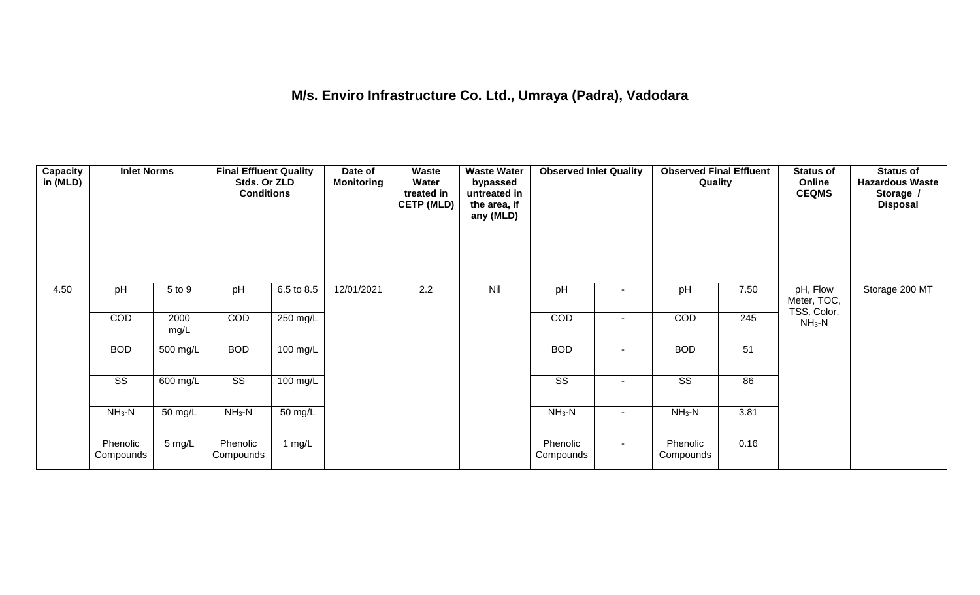## **M/s. Enviro Infrastructure Co. Ltd., Umraya (Padra), Vadodara**

| <b>Capacity</b><br>in (MLD) | <b>Inlet Norms</b>     |              | <b>Final Effluent Quality</b><br>Stds. Or ZLD<br><b>Conditions</b> |            | Date of<br><b>Monitoring</b> | Waste<br>Water<br>treated in<br><b>CETP (MLD)</b> | <b>Waste Water</b><br>bypassed<br>untreated in<br>the area, if<br>any (MLD) | <b>Observed Inlet Quality</b> |        | <b>Observed Final Effluent</b><br>Quality |      | <b>Status of</b><br>Online<br><b>CEQMS</b> | <b>Status of</b><br><b>Hazardous Waste</b><br>Storage /<br><b>Disposal</b> |
|-----------------------------|------------------------|--------------|--------------------------------------------------------------------|------------|------------------------------|---------------------------------------------------|-----------------------------------------------------------------------------|-------------------------------|--------|-------------------------------------------|------|--------------------------------------------|----------------------------------------------------------------------------|
| 4.50                        | pH                     | 5 to 9       | pH                                                                 | 6.5 to 8.5 | 12/01/2021                   | 2.2                                               | Nil                                                                         | pH                            |        | pH                                        | 7.50 | pH, Flow<br>Meter, TOC,<br>TSS, Color,     | Storage 200 MT                                                             |
|                             | COD                    | 2000<br>mg/L | COD                                                                | 250 mg/L   |                              |                                                   |                                                                             | COD                           |        | COD                                       | 245  | $NH3-N$                                    |                                                                            |
|                             | <b>BOD</b>             | 500 mg/L     | <b>BOD</b>                                                         | 100 mg/L   |                              |                                                   |                                                                             | <b>BOD</b>                    |        | <b>BOD</b>                                | 51   |                                            |                                                                            |
|                             | $\overline{\text{ss}}$ | 600 mg/L     | $\overline{\text{ss}}$                                             | $100$ mg/L |                              |                                                   |                                                                             | $\overline{\text{ss}}$        |        | $\overline{\text{ss}}$                    | 86   |                                            |                                                                            |
|                             | $NH_3-N$               | 50 mg/L      | $NH3-N$                                                            | 50 mg/L    |                              |                                                   |                                                                             | $NH3-N$                       |        | $NH_3-N$                                  | 3.81 |                                            |                                                                            |
|                             | Phenolic<br>Compounds  | 5 mg/L       | Phenolic<br>Compounds                                              | 1 $mg/L$   |                              |                                                   |                                                                             | Phenolic<br>Compounds         | $\sim$ | Phenolic<br>Compounds                     | 0.16 |                                            |                                                                            |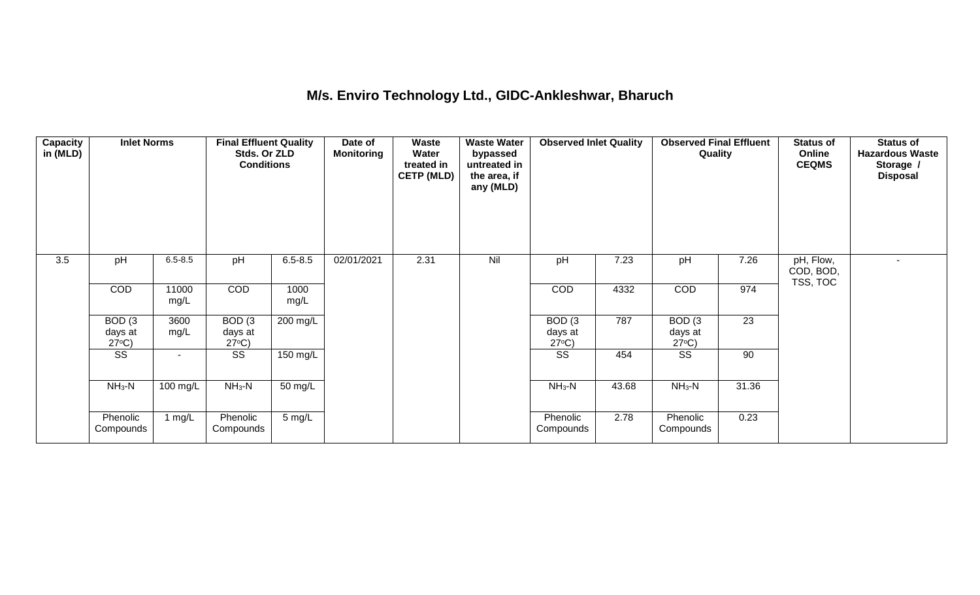#### **M/s. Enviro Technology Ltd., GIDC-Ankleshwar, Bharuch**

| Capacity<br>in (MLD) | <b>Inlet Norms</b>                              |               | <b>Final Effluent Quality</b><br>Stds. Or ZLD<br><b>Conditions</b> |              | Date of<br><b>Monitoring</b> | Waste<br>Water<br>treated in<br><b>CETP (MLD)</b> | <b>Waste Water</b><br>bypassed<br>untreated in<br>the area, if<br>any (MLD) | <b>Observed Inlet Quality</b>                   |       | <b>Observed Final Effluent</b><br>Quality       |       | <b>Status of</b><br>Online<br><b>CEQMS</b> | <b>Status of</b><br><b>Hazardous Waste</b><br>Storage /<br><b>Disposal</b> |
|----------------------|-------------------------------------------------|---------------|--------------------------------------------------------------------|--------------|------------------------------|---------------------------------------------------|-----------------------------------------------------------------------------|-------------------------------------------------|-------|-------------------------------------------------|-------|--------------------------------------------|----------------------------------------------------------------------------|
| 3.5                  | pH                                              | $6.5 - 8.5$   | pH                                                                 | $6.5 - 8.5$  | 02/01/2021                   | 2.31                                              | Nil                                                                         | pH                                              | 7.23  | pH                                              | 7.26  | pH, Flow,<br>COD, BOD,                     | $\sim$                                                                     |
|                      | <b>COD</b>                                      | 11000<br>mg/L | COD                                                                | 1000<br>mg/L |                              |                                                   |                                                                             | COD                                             | 4332  | COD                                             | 974   | TSS, TOC                                   |                                                                            |
|                      | BOD <sub>(3</sub><br>days at<br>$27^{\circ}C$ ) | 3600<br>mg/L  | BOD <sub>(3</sub><br>days at<br>$27^{\circ}C$ )                    | 200 mg/L     |                              |                                                   |                                                                             | BOD <sub>(3</sub><br>days at<br>$27^{\circ}C$ ) | 787   | BOD <sub>(3</sub><br>days at<br>$27^{\circ}C$ ) | 23    |                                            |                                                                            |
|                      | SS                                              | $\sim$        | SS                                                                 | 150 mg/L     |                              |                                                   |                                                                             | SS                                              | 454   | SS                                              | 90    |                                            |                                                                            |
|                      | $NH3-N$                                         | 100 mg/L      | $NH3-N$                                                            | 50 mg/L      |                              |                                                   |                                                                             | $NH_3-N$                                        | 43.68 | $NH3-N$                                         | 31.36 |                                            |                                                                            |
|                      | Phenolic<br>Compounds                           | 1 $mg/L$      | Phenolic<br>Compounds                                              | 5 mg/L       |                              |                                                   |                                                                             | Phenolic<br>Compounds                           | 2.78  | Phenolic<br>Compounds                           | 0.23  |                                            |                                                                            |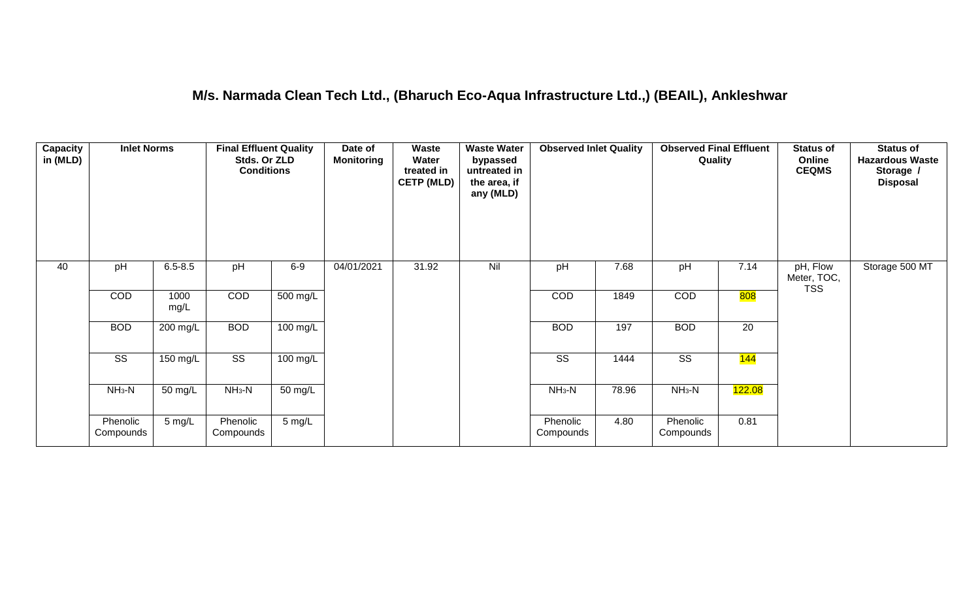#### **M/s. Narmada Clean Tech Ltd., (Bharuch Eco-Aqua Infrastructure Ltd.,) (BEAIL), Ankleshwar**

| <b>Capacity</b><br>in (MLD) | <b>Inlet Norms</b>     |                  | <b>Final Effluent Quality</b><br>Stds. Or ZLD<br><b>Conditions</b> |                    | Date of<br><b>Monitoring</b> | Waste<br>Water<br>treated in<br><b>CETP (MLD)</b> | <b>Waste Water</b><br>bypassed<br>untreated in<br>the area, if<br>any (MLD) | <b>Observed Inlet Quality</b> |       | <b>Observed Final Effluent</b><br>Quality |        | <b>Status of</b><br>Online<br><b>CEQMS</b> | <b>Status of</b><br><b>Hazardous Waste</b><br>Storage /<br><b>Disposal</b> |
|-----------------------------|------------------------|------------------|--------------------------------------------------------------------|--------------------|------------------------------|---------------------------------------------------|-----------------------------------------------------------------------------|-------------------------------|-------|-------------------------------------------|--------|--------------------------------------------|----------------------------------------------------------------------------|
| 40                          | pH                     | $6.5 - 8.5$      | pH                                                                 | $6-9$              | 04/01/2021                   | 31.92                                             | Nil                                                                         | pH                            | 7.68  | pH                                        | 7.14   | pH, Flow<br>Meter, TOC,<br><b>TSS</b>      | Storage 500 MT                                                             |
|                             | COD                    | 1000<br>mg/L     | COD                                                                | 500 mg/L           |                              |                                                   |                                                                             | COD                           | 1849  | COD                                       | 808    |                                            |                                                                            |
|                             | <b>BOD</b>             | 200 mg/L         | <b>BOD</b>                                                         | 100 mg/L           |                              |                                                   |                                                                             | <b>BOD</b>                    | 197   | <b>BOD</b>                                | 20     |                                            |                                                                            |
|                             | $\overline{\text{ss}}$ | $150$ mg/L       | $\overline{\text{SS}}$                                             | $100 \text{ mg/L}$ |                              |                                                   |                                                                             | $\overline{\text{ss}}$        | 1444  | $\overline{\text{SS}}$                    | 144    |                                            |                                                                            |
|                             | $NH3-N$                | 50 mg/L          | $NH3-N$                                                            | $50 \text{ mg/L}$  |                              |                                                   |                                                                             | $NH3-N$                       | 78.96 | $NH3-N$                                   | 122.08 |                                            |                                                                            |
|                             | Phenolic<br>Compounds  | $5 \text{ mg/L}$ | Phenolic<br>Compounds                                              | $5 \text{ mg/L}$   |                              |                                                   |                                                                             | Phenolic<br>Compounds         | 4.80  | Phenolic<br>Compounds                     | 0.81   |                                            |                                                                            |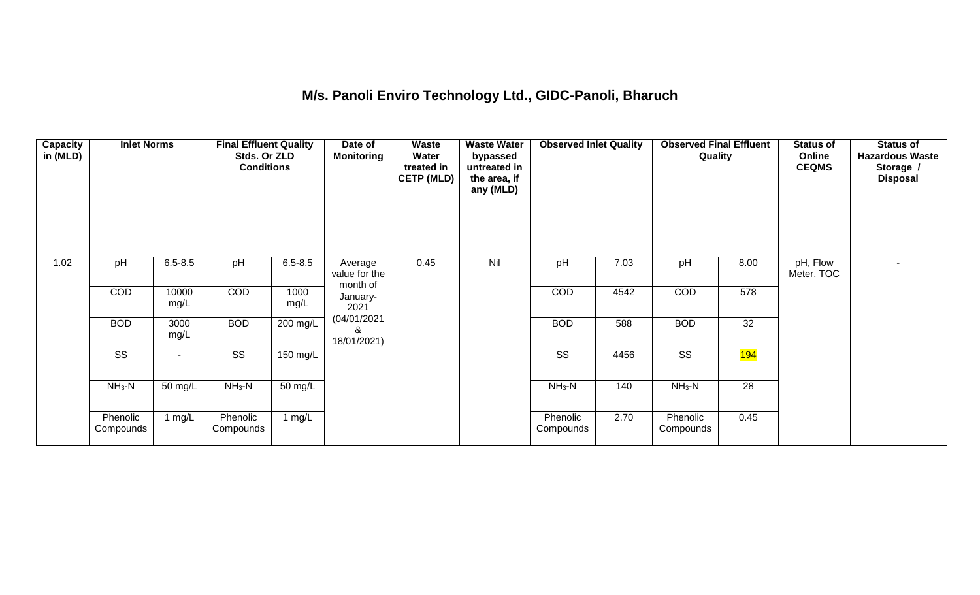## **M/s. Panoli Enviro Technology Ltd., GIDC-Panoli, Bharuch**

| <b>Capacity</b><br>in (MLD) | <b>Inlet Norms</b>     |               | <b>Final Effluent Quality</b><br>Stds. Or ZLD<br><b>Conditions</b> |              | Date of<br><b>Monitoring</b>         | <b>Waste</b><br>Water<br>treated in<br><b>CETP (MLD)</b> | <b>Waste Water</b><br>bypassed<br>untreated in<br>the area, if<br>any (MLD) | <b>Observed Inlet Quality</b> |      | <b>Observed Final Effluent</b><br>Quality |                  | <b>Status of</b><br>Online<br><b>CEQMS</b> | <b>Status of</b><br><b>Hazardous Waste</b><br>Storage /<br><b>Disposal</b> |
|-----------------------------|------------------------|---------------|--------------------------------------------------------------------|--------------|--------------------------------------|----------------------------------------------------------|-----------------------------------------------------------------------------|-------------------------------|------|-------------------------------------------|------------------|--------------------------------------------|----------------------------------------------------------------------------|
| 1.02                        | pH                     | $6.5 - 8.5$   | pH                                                                 | $6.5 - 8.5$  | Average<br>value for the<br>month of | 0.45                                                     | Nil                                                                         | pH                            | 7.03 | pH                                        | 8.00             | pH, Flow<br>Meter, TOC                     | $\sim$                                                                     |
|                             | COD                    | 10000<br>mg/L | COD                                                                | 1000<br>mg/L | January-<br>2021                     |                                                          |                                                                             | COD                           | 4542 | COD                                       | 578              |                                            |                                                                            |
|                             | <b>BOD</b>             | 3000<br>mg/L  | <b>BOD</b>                                                         | 200 mg/L     | (04/01/2021<br>&<br>18/01/2021)      |                                                          |                                                                             | <b>BOD</b>                    | 588  | <b>BOD</b>                                | 32               |                                            |                                                                            |
|                             | $\overline{\text{SS}}$ |               | $\overline{\text{SS}}$                                             | 150 mg/L     |                                      |                                                          |                                                                             | $\overline{\text{SS}}$        | 4456 | $\overline{\text{SS}}$                    | <mark>194</mark> |                                            |                                                                            |
|                             | $NH3-N$                | 50 mg/L       | $NH3-N$                                                            | 50 mg/L      |                                      |                                                          |                                                                             | $NH3-N$                       | 140  | $NH3-N$                                   | 28               |                                            |                                                                            |
|                             | Phenolic<br>Compounds  | 1 $mg/L$      | Phenolic<br>Compounds                                              | 1 $mg/L$     |                                      |                                                          |                                                                             | Phenolic<br>Compounds         | 2.70 | Phenolic<br>Compounds                     | 0.45             |                                            |                                                                            |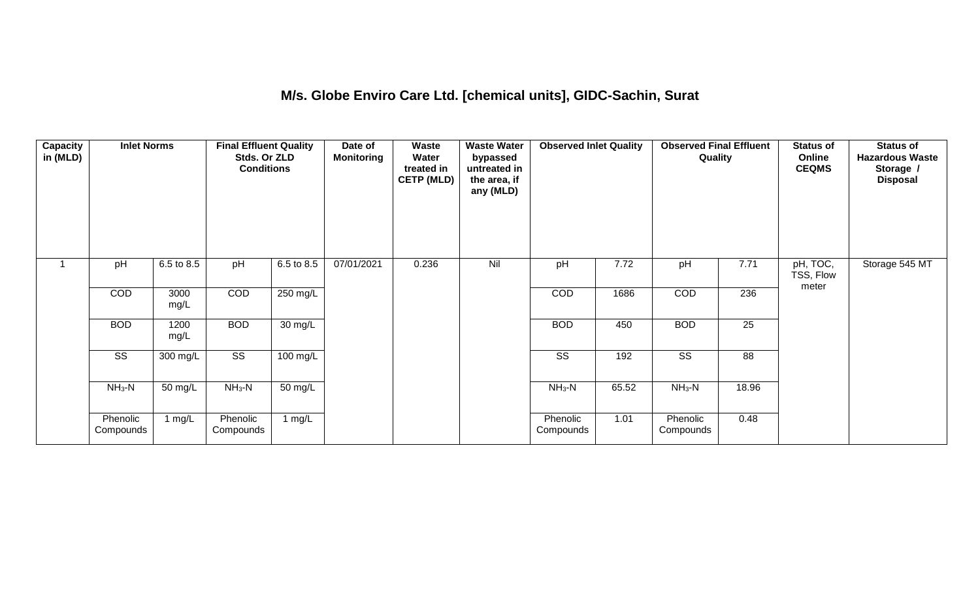#### **M/s. Globe Enviro Care Ltd. [chemical units], GIDC-Sachin, Surat**

| <b>Capacity</b><br>in (MLD) | <b>Inlet Norms</b>     |              | <b>Final Effluent Quality</b><br>Stds. Or ZLD<br><b>Conditions</b> |            | Date of<br><b>Monitoring</b> | Waste<br>Water<br>treated in<br><b>CETP (MLD)</b> | <b>Waste Water</b><br>bypassed<br>untreated in<br>the area, if<br>any (MLD) | <b>Observed Inlet Quality</b> |       | <b>Observed Final Effluent</b><br>Quality |                 | <b>Status of</b><br>Online<br><b>CEQMS</b> | <b>Status of</b><br><b>Hazardous Waste</b><br>Storage /<br><b>Disposal</b> |
|-----------------------------|------------------------|--------------|--------------------------------------------------------------------|------------|------------------------------|---------------------------------------------------|-----------------------------------------------------------------------------|-------------------------------|-------|-------------------------------------------|-----------------|--------------------------------------------|----------------------------------------------------------------------------|
|                             | pH                     | 6.5 to 8.5   | pH                                                                 | 6.5 to 8.5 | 07/01/2021                   | 0.236                                             | Nil                                                                         | pH                            | 7.72  | pH                                        | 7.71            | pH, TOC,<br>TSS, Flow<br>meter             | Storage 545 MT                                                             |
|                             | <b>COD</b>             | 3000<br>mg/L | COD                                                                | 250 mg/L   |                              |                                                   |                                                                             | <b>COD</b>                    | 1686  | COD                                       | 236             |                                            |                                                                            |
|                             | <b>BOD</b>             | 1200<br>mg/L | <b>BOD</b>                                                         | 30 mg/L    |                              |                                                   |                                                                             | <b>BOD</b>                    | 450   | <b>BOD</b>                                | $\overline{25}$ |                                            |                                                                            |
|                             | $\overline{\text{ss}}$ | $300$ mg/L   | $\overline{\text{ss}}$                                             | $100$ mg/L |                              |                                                   |                                                                             | $\overline{\text{ss}}$        | 192   | $\overline{\text{ss}}$                    | 88              |                                            |                                                                            |
|                             | $NH_3-N$               | 50 mg/L      | $NH3-N$                                                            | 50 mg/L    |                              |                                                   |                                                                             | $NH3-N$                       | 65.52 | $NH3-N$                                   | 18.96           |                                            |                                                                            |
|                             | Phenolic<br>Compounds  | 1 $mg/L$     | Phenolic<br>Compounds                                              | 1 $mg/L$   |                              |                                                   |                                                                             | Phenolic<br>Compounds         | 1.01  | Phenolic<br>Compounds                     | 0.48            |                                            |                                                                            |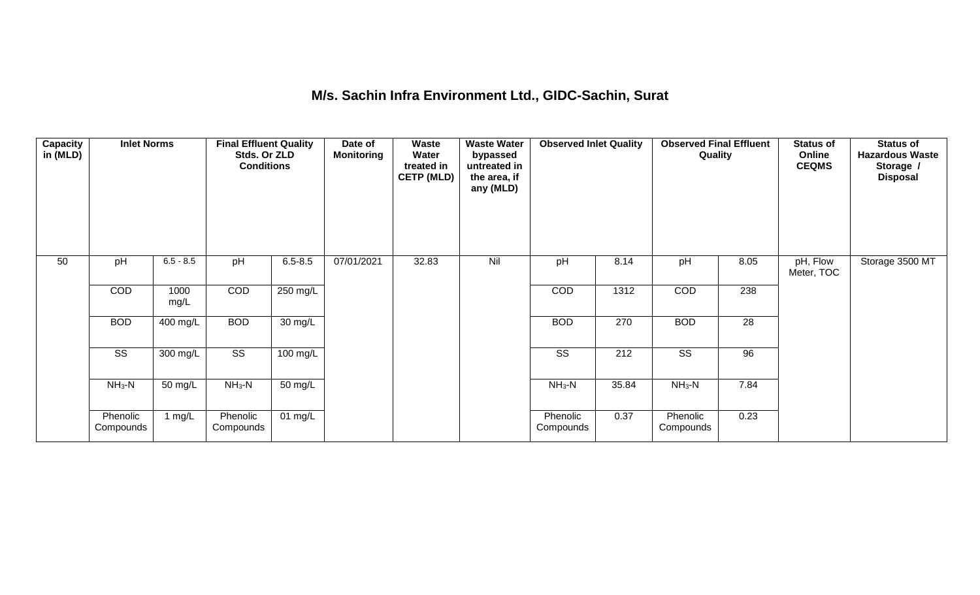#### **M/s. Sachin Infra Environment Ltd., GIDC-Sachin, Surat**

| Capacity<br>in (MLD) | <b>Inlet Norms</b>     |              | <b>Final Effluent Quality</b><br>Stds. Or ZLD<br><b>Conditions</b> |             | Date of<br><b>Monitoring</b> | Waste<br>Water<br>treated in<br><b>CETP (MLD)</b> | <b>Waste Water</b><br>bypassed<br>untreated in<br>the area, if<br>any (MLD) | <b>Observed Inlet Quality</b> |       | <b>Observed Final Effluent</b><br>Quality |      | <b>Status of</b><br>Online<br><b>CEQMS</b> | <b>Status of</b><br><b>Hazardous Waste</b><br>Storage /<br><b>Disposal</b> |
|----------------------|------------------------|--------------|--------------------------------------------------------------------|-------------|------------------------------|---------------------------------------------------|-----------------------------------------------------------------------------|-------------------------------|-------|-------------------------------------------|------|--------------------------------------------|----------------------------------------------------------------------------|
| 50                   | pH                     | $6.5 - 8.5$  | pH                                                                 | $6.5 - 8.5$ | 07/01/2021                   | 32.83                                             | Nil                                                                         | pH                            | 8.14  | pH                                        | 8.05 | pH, Flow<br>Meter, TOC                     | Storage 3500 MT                                                            |
|                      | COD                    | 1000<br>mg/L | COD                                                                | 250 mg/L    |                              |                                                   |                                                                             | COD                           | 1312  | COD                                       | 238  |                                            |                                                                            |
|                      | <b>BOD</b>             | 400 mg/L     | <b>BOD</b>                                                         | 30 mg/L     |                              |                                                   |                                                                             | <b>BOD</b>                    | 270   | <b>BOD</b>                                | 28   |                                            |                                                                            |
|                      | $\overline{\text{SS}}$ | 300 mg/L     | $\overline{\text{ss}}$                                             | 100 mg/L    |                              |                                                   |                                                                             | $\overline{\text{SS}}$        | 212   | $\overline{\text{SS}}$                    | 96   |                                            |                                                                            |
|                      | $NH_3-N$               | 50 mg/L      | $NH3-N$                                                            | 50 mg/L     |                              |                                                   |                                                                             | $NH3-N$                       | 35.84 | $NH3-N$                                   | 7.84 |                                            |                                                                            |
|                      | Phenolic<br>Compounds  | 1 $mg/L$     | Phenolic<br>Compounds                                              | 01 $mg/L$   |                              |                                                   |                                                                             | Phenolic<br>Compounds         | 0.37  | Phenolic<br>Compounds                     | 0.23 |                                            |                                                                            |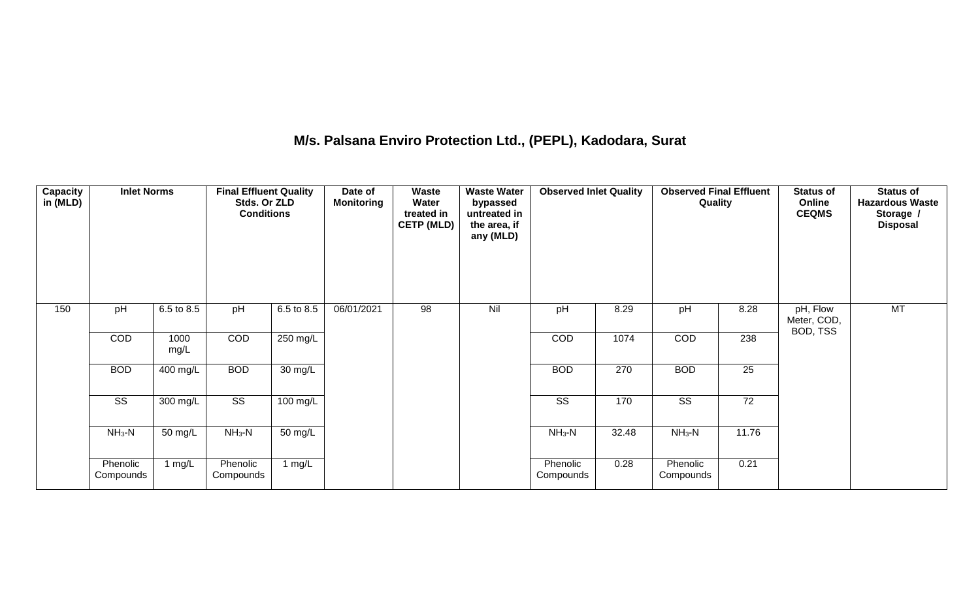## **M/s. Palsana Enviro Protection Ltd., (PEPL), Kadodara, Surat**

| Capacity<br>in (MLD) | <b>Inlet Norms</b>     |              | <b>Final Effluent Quality</b><br>Stds. Or ZLD<br><b>Conditions</b> |                    | Date of<br><b>Monitoring</b> | <b>Waste</b><br>Water<br>treated in<br><b>CETP (MLD)</b> | <b>Waste Water</b><br>bypassed<br>untreated in<br>the area, if<br>any (MLD) | <b>Observed Inlet Quality</b> |       | <b>Observed Final Effluent</b><br>Quality |                 | <b>Status of</b><br>Online<br><b>CEQMS</b> | <b>Status of</b><br><b>Hazardous Waste</b><br>Storage /<br><b>Disposal</b> |
|----------------------|------------------------|--------------|--------------------------------------------------------------------|--------------------|------------------------------|----------------------------------------------------------|-----------------------------------------------------------------------------|-------------------------------|-------|-------------------------------------------|-----------------|--------------------------------------------|----------------------------------------------------------------------------|
| 150                  | pH                     | 6.5 to 8.5   | pH                                                                 | 6.5 to 8.5         | 06/01/2021                   | 98                                                       | Nil                                                                         | pH                            | 8.29  | pH                                        | 8.28            | pH, Flow<br>Meter, COD,<br>BOD, TSS        | MT                                                                         |
|                      | COD                    | 1000<br>mg/L | COD                                                                | $250 \text{ mg/L}$ |                              |                                                          |                                                                             | COD                           | 1074  | COD                                       | 238             |                                            |                                                                            |
|                      | <b>BOD</b>             | 400 mg/L     | <b>BOD</b>                                                         | $30 \text{ mg/L}$  |                              |                                                          |                                                                             | <b>BOD</b>                    | 270   | <b>BOD</b>                                | $\overline{25}$ |                                            |                                                                            |
|                      | $\overline{\text{ss}}$ | 300 mg/L     | $\overline{\text{ss}}$                                             | $100$ mg/L         |                              |                                                          |                                                                             | $\overline{\text{ss}}$        | 170   | $\overline{\text{SS}}$                    | $\overline{72}$ |                                            |                                                                            |
|                      | $NH3-N$                | 50 mg/L      | $NH_3-N$                                                           | 50 mg/L            |                              |                                                          |                                                                             | $NH_3-N$                      | 32.48 | $NH3-N$                                   | 11.76           |                                            |                                                                            |
|                      | Phenolic<br>Compounds  | 1 $mg/L$     | Phenolic<br>Compounds                                              | 1 $mg/L$           |                              |                                                          |                                                                             | Phenolic<br>Compounds         | 0.28  | Phenolic<br>Compounds                     | 0.21            |                                            |                                                                            |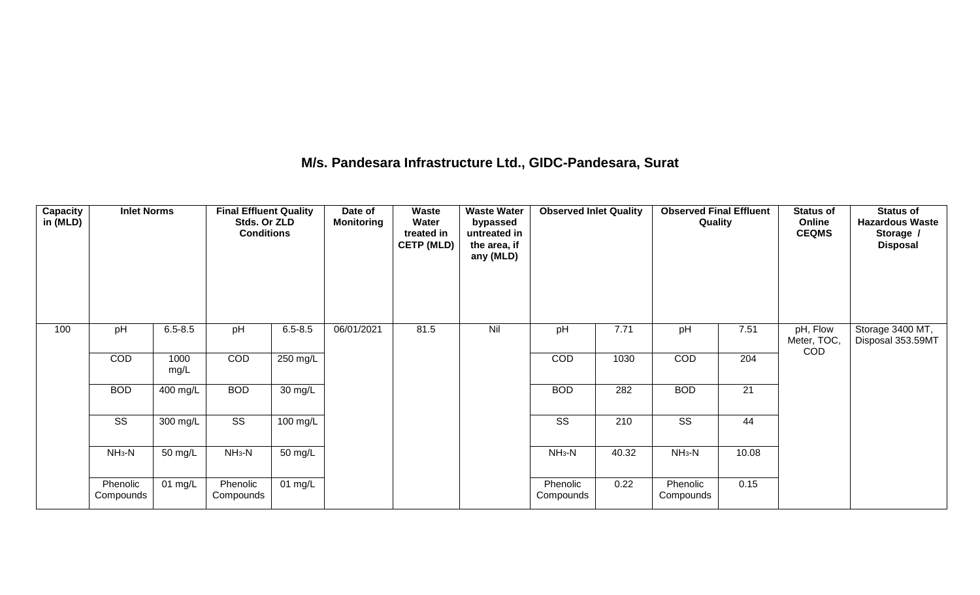#### **M/s. Pandesara Infrastructure Ltd., GIDC-Pandesara, Surat**

| <b>Capacity</b><br>in (MLD) | <b>Inlet Norms</b>    |              | <b>Final Effluent Quality</b><br>Stds. Or ZLD<br><b>Conditions</b> |                    | Date of<br><b>Monitoring</b> | <b>Waste</b><br>Water<br>treated in<br><b>CETP (MLD)</b> | <b>Waste Water</b><br>bypassed<br>untreated in<br>the area, if<br>any (MLD) | <b>Observed Inlet Quality</b> |       | <b>Observed Final Effluent</b><br>Quality |                  | <b>Status of</b><br>Online<br><b>CEQMS</b> | <b>Status of</b><br><b>Hazardous Waste</b><br>Storage /<br><b>Disposal</b> |
|-----------------------------|-----------------------|--------------|--------------------------------------------------------------------|--------------------|------------------------------|----------------------------------------------------------|-----------------------------------------------------------------------------|-------------------------------|-------|-------------------------------------------|------------------|--------------------------------------------|----------------------------------------------------------------------------|
| 100                         | pH                    | $6.5 - 8.5$  | pH                                                                 | $6.5 - 8.5$        | 06/01/2021                   | 81.5                                                     | Nil                                                                         | pH                            | 7.71  | pH                                        | 7.51             | pH, Flow<br>Meter, TOC,<br><b>COD</b>      | Storage 3400 MT,<br>Disposal 353.59MT                                      |
|                             | COD                   | 1000<br>mg/L | COD                                                                | 250 mg/L           |                              |                                                          |                                                                             | COD                           | 1030  | COD                                       | $\overline{204}$ |                                            |                                                                            |
|                             | <b>BOD</b>            | 400 mg/L     | <b>BOD</b>                                                         | $30 \text{ mg/L}$  |                              |                                                          |                                                                             | <b>BOD</b>                    | 282   | <b>BOD</b>                                | 21               |                                            |                                                                            |
|                             | SS                    | 300 mg/L     | $\overline{\text{ss}}$                                             | $100 \text{ mg/L}$ |                              |                                                          |                                                                             | $\overline{\text{SS}}$        | 210   | $\overline{\text{SS}}$                    | 44               |                                            |                                                                            |
|                             | $NH3-N$               | 50 mg/L      | $NH3-N$                                                            | 50 mg/L            |                              |                                                          |                                                                             | $NH_3-N$                      | 40.32 | $NH_3-N$                                  | 10.08            |                                            |                                                                            |
|                             | Phenolic<br>Compounds | 01 $mg/L$    | Phenolic<br>Compounds                                              | $01$ mg/L          |                              |                                                          |                                                                             | Phenolic<br>Compounds         | 0.22  | Phenolic<br>Compounds                     | 0.15             |                                            |                                                                            |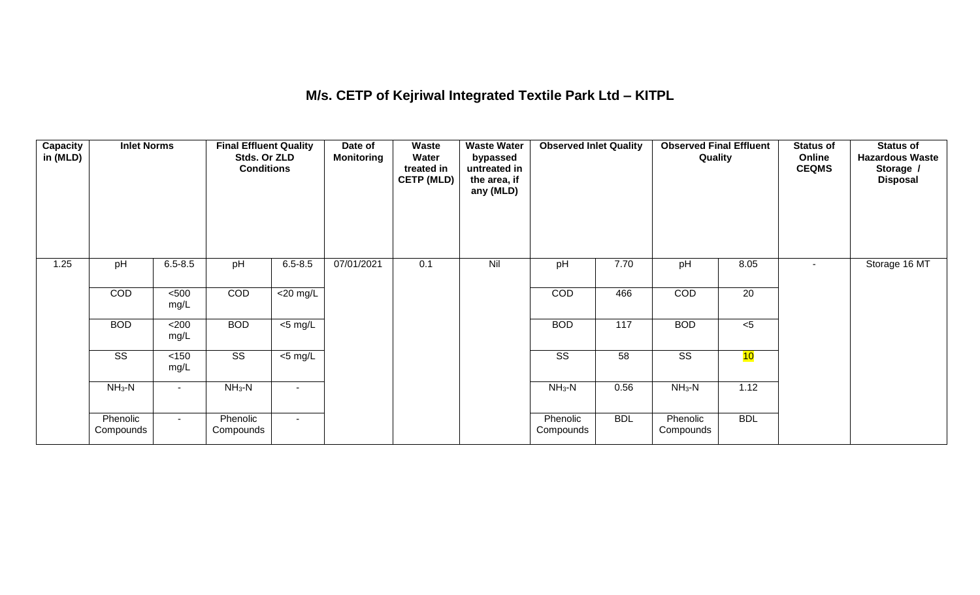## **M/s. CETP of Kejriwal Integrated Textile Park Ltd – KITPL**

| <b>Capacity</b><br>in (MLD) | <b>Inlet Norms</b>     |               | <b>Final Effluent Quality</b><br>Stds. Or ZLD<br><b>Conditions</b> |                | Date of<br><b>Monitoring</b> | Waste<br>Water<br>treated in<br><b>CETP (MLD)</b> | <b>Waste Water</b><br>bypassed<br>untreated in<br>the area, if<br>any (MLD) | <b>Observed Inlet Quality</b> |            | <b>Observed Final Effluent</b><br>Quality |            | <b>Status of</b><br>Online<br><b>CEQMS</b> | <b>Status of</b><br><b>Hazardous Waste</b><br>Storage /<br><b>Disposal</b> |
|-----------------------------|------------------------|---------------|--------------------------------------------------------------------|----------------|------------------------------|---------------------------------------------------|-----------------------------------------------------------------------------|-------------------------------|------------|-------------------------------------------|------------|--------------------------------------------|----------------------------------------------------------------------------|
| 1.25                        | pH                     | $6.5 - 8.5$   | pH                                                                 | $6.5 - 8.5$    | 07/01/2021                   | 0.1                                               | Nil                                                                         | pH                            | 7.70       | pH                                        | 8.05       | $\blacksquare$                             | Storage 16 MT                                                              |
|                             | <b>COD</b>             | $500$<br>mg/L | COD                                                                | $<$ 20 mg/L    |                              |                                                   |                                                                             | COD                           | 466        | COD                                       | 20         |                                            |                                                                            |
|                             | <b>BOD</b>             | <200<br>mg/L  | <b>BOD</b>                                                         | $<$ 5 mg/L     |                              |                                                   |                                                                             | <b>BOD</b>                    | 117        | <b>BOD</b>                                | $<$ 5      |                                            |                                                                            |
|                             | $\overline{\text{ss}}$ | <150<br>mg/L  | $\overline{\text{SS}}$                                             | <5 mg/L        |                              |                                                   |                                                                             | $\overline{\text{ss}}$        | 58         | $\overline{\text{ss}}$                    | 10         |                                            |                                                                            |
|                             | $NH_3-N$               |               | $NH3-N$                                                            | $\blacksquare$ |                              |                                                   |                                                                             | $NH_3-N$                      | 0.56       | $NH3-N$                                   | 1.12       |                                            |                                                                            |
|                             | Phenolic<br>Compounds  | $\sim$        | Phenolic<br>Compounds                                              | $\sim$         |                              |                                                   |                                                                             | Phenolic<br>Compounds         | <b>BDL</b> | Phenolic<br>Compounds                     | <b>BDL</b> |                                            |                                                                            |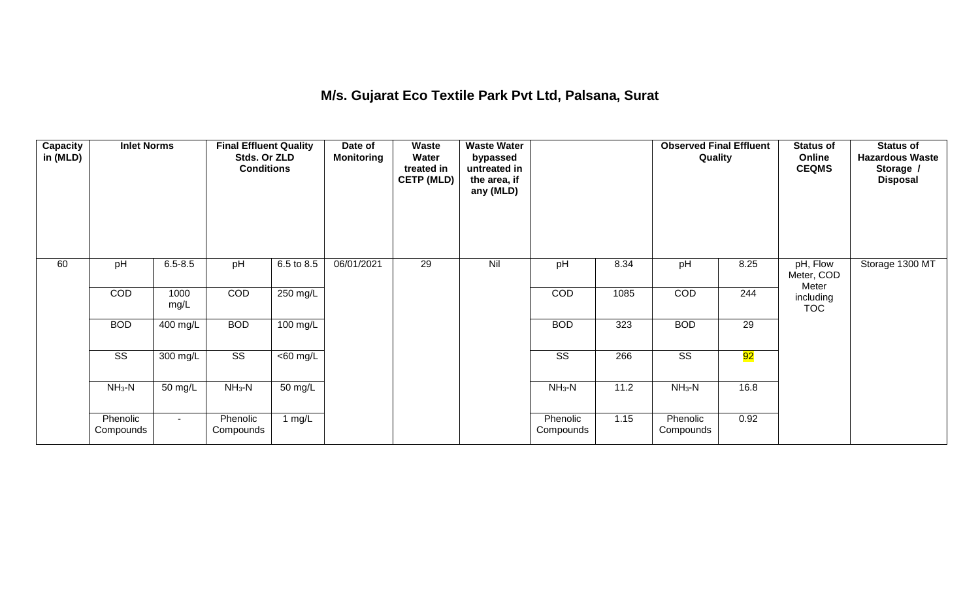## **M/s. Gujarat Eco Textile Park Pvt Ltd, Palsana, Surat**

| Capacity<br>in (MLD) | <b>Inlet Norms</b>     |              | <b>Final Effluent Quality</b><br>Stds. Or ZLD<br><b>Conditions</b> |                    | Date of<br><b>Monitoring</b> | Waste<br>Water<br>treated in<br><b>CETP (MLD)</b> | <b>Waste Water</b><br>bypassed<br>untreated in<br>the area, if<br>any (MLD) |                        |      | <b>Observed Final Effluent</b><br>Quality |      | <b>Status of</b><br>Online<br><b>CEQMS</b> | <b>Status of</b><br><b>Hazardous Waste</b><br>Storage /<br><b>Disposal</b> |
|----------------------|------------------------|--------------|--------------------------------------------------------------------|--------------------|------------------------------|---------------------------------------------------|-----------------------------------------------------------------------------|------------------------|------|-------------------------------------------|------|--------------------------------------------|----------------------------------------------------------------------------|
| 60                   | pH                     | $6.5 - 8.5$  | pH                                                                 | 6.5 to 8.5         | 06/01/2021                   | 29                                                | Nil                                                                         | pH                     | 8.34 | pH                                        | 8.25 | pH, Flow<br>Meter, COD<br>Meter            | Storage 1300 MT                                                            |
|                      | COD                    | 1000<br>mg/L | COD                                                                | 250 mg/L           |                              |                                                   |                                                                             | COD                    | 1085 | COD                                       | 244  | including<br><b>TOC</b>                    |                                                                            |
|                      | <b>BOD</b>             | $400$ mg/L   | <b>BOD</b>                                                         | $100 \text{ mg/L}$ |                              |                                                   |                                                                             | <b>BOD</b>             | 323  | <b>BOD</b>                                | 29   |                                            |                                                                            |
|                      | $\overline{\text{ss}}$ | 300 mg/L     | $\overline{\text{ss}}$                                             | $<$ 60 mg/L        |                              |                                                   |                                                                             | $\overline{\text{ss}}$ | 266  | $\overline{\text{ss}}$                    | 92   |                                            |                                                                            |
|                      | $NH_3-N$               | 50 mg/L      | $NH3-N$                                                            | 50 mg/L            |                              |                                                   |                                                                             | $NH3-N$                | 11.2 | $NH3-N$                                   | 16.8 |                                            |                                                                            |
|                      | Phenolic<br>Compounds  | $\sim$       | Phenolic<br>Compounds                                              | 1 $mg/L$           |                              |                                                   |                                                                             | Phenolic<br>Compounds  | 1.15 | Phenolic<br>Compounds                     | 0.92 |                                            |                                                                            |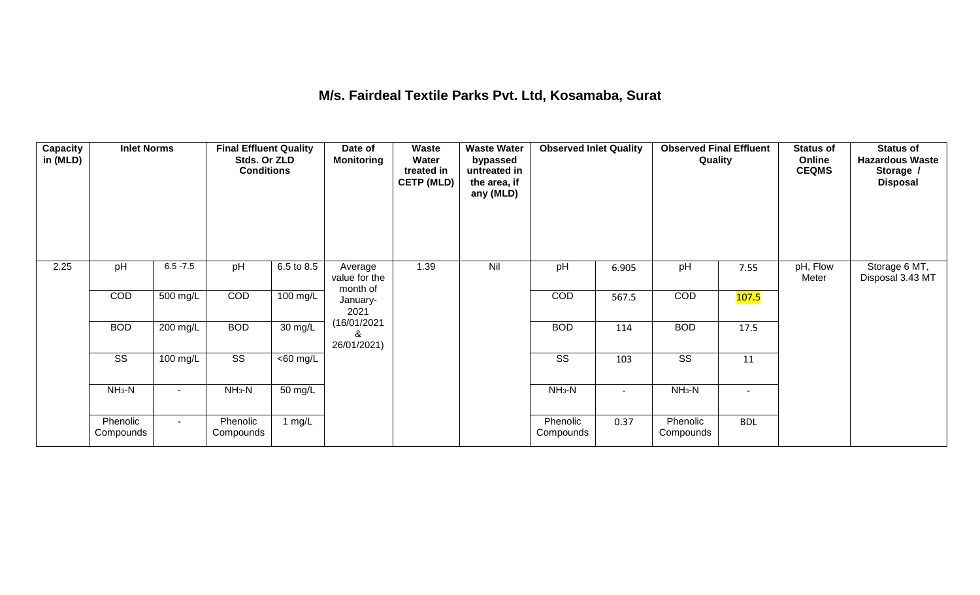#### **M/s. Fairdeal Textile Parks Pvt. Ltd, Kosamaba, Surat**

| <b>Capacity</b><br>in (MLD) | <b>Inlet Norms</b>     |                    | <b>Final Effluent Quality</b><br>Stds. Or ZLD<br><b>Conditions</b> |                      | Date of<br><b>Monitoring</b>         | Waste<br>Water<br>treated in<br><b>CETP (MLD)</b> | <b>Waste Water</b><br>bypassed<br>untreated in<br>the area, if<br>any (MLD) | <b>Observed Inlet Quality</b> |                          | <b>Observed Final Effluent</b><br>Quality |                          | <b>Status of</b><br>Online<br><b>CEQMS</b> | <b>Status of</b><br><b>Hazardous Waste</b><br>Storage /<br><b>Disposal</b> |
|-----------------------------|------------------------|--------------------|--------------------------------------------------------------------|----------------------|--------------------------------------|---------------------------------------------------|-----------------------------------------------------------------------------|-------------------------------|--------------------------|-------------------------------------------|--------------------------|--------------------------------------------|----------------------------------------------------------------------------|
| 2.25                        | pH                     | $6.5 - 7.5$        | pH                                                                 | 6.5 to 8.5           | Average<br>value for the<br>month of | 1.39                                              | Nil                                                                         | pH                            | 6.905                    | pH                                        | 7.55                     | pH, Flow<br>Meter                          | Storage 6 MT,<br>Disposal 3.43 MT                                          |
|                             | <b>COD</b>             | 500 mg/L           | COD                                                                | 100 mg/L             | January-<br>2021                     |                                                   |                                                                             | <b>COD</b>                    | 567.5                    | COD                                       | 107.5                    |                                            |                                                                            |
|                             | <b>BOD</b>             | $200$ mg/L         | <b>BOD</b>                                                         | $\overline{30}$ mg/L | (16/01/2021<br>&<br>26/01/2021)      |                                                   |                                                                             | <b>BOD</b>                    | 114                      | <b>BOD</b>                                | 17.5                     |                                            |                                                                            |
|                             | $\overline{\text{ss}}$ | $100 \text{ mg/L}$ | $\overline{\text{ss}}$                                             | $<$ 60 mg/L          |                                      |                                                   |                                                                             | $\overline{\text{ss}}$        | 103                      | $\overline{\text{ss}}$                    | 11                       |                                            |                                                                            |
|                             | $NH3-N$                |                    | $NH3-N$                                                            | 50 mg/L              |                                      |                                                   |                                                                             | $NH3-N$                       | $\overline{\phantom{a}}$ | $NH3-N$                                   | $\overline{\phantom{a}}$ |                                            |                                                                            |
|                             | Phenolic<br>Compounds  | $\sim$             | Phenolic<br>Compounds                                              | 1 $mg/L$             |                                      |                                                   |                                                                             | Phenolic<br>Compounds         | 0.37                     | Phenolic<br>Compounds                     | <b>BDL</b>               |                                            |                                                                            |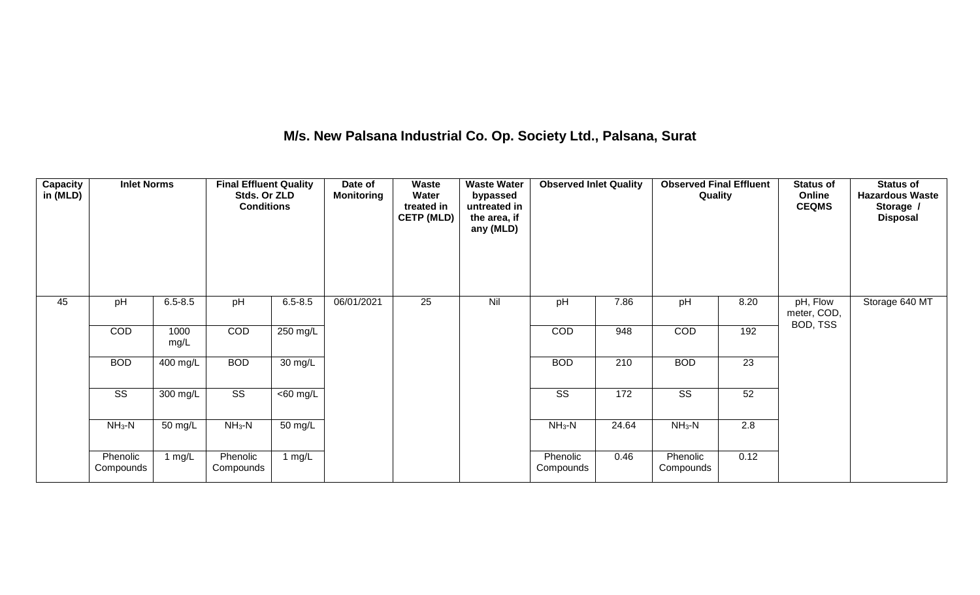## **M/s. New Palsana Industrial Co. Op. Society Ltd., Palsana, Surat**

| Capacity<br>in (MLD) | <b>Inlet Norms</b>     |              | <b>Final Effluent Quality</b><br>Stds. Or ZLD<br><b>Conditions</b> |             | Date of<br><b>Monitoring</b> | Waste<br>Water<br>treated in<br><b>CETP (MLD)</b> | <b>Waste Water</b><br>bypassed<br>untreated in<br>the area, if<br>any (MLD) | <b>Observed Inlet Quality</b> |       | <b>Observed Final Effluent</b><br>Quality |      | <b>Status of</b><br>Online<br><b>CEQMS</b> | <b>Status of</b><br><b>Hazardous Waste</b><br>Storage /<br><b>Disposal</b> |
|----------------------|------------------------|--------------|--------------------------------------------------------------------|-------------|------------------------------|---------------------------------------------------|-----------------------------------------------------------------------------|-------------------------------|-------|-------------------------------------------|------|--------------------------------------------|----------------------------------------------------------------------------|
| 45                   | pH                     | $6.5 - 8.5$  | pH                                                                 | $6.5 - 8.5$ | 06/01/2021                   | 25                                                | Nil                                                                         | pH                            | 7.86  | pH                                        | 8.20 | pH, Flow<br>meter, COD,<br>BOD, TSS        | Storage 640 MT                                                             |
|                      | COD                    | 1000<br>mg/L | COD                                                                | 250 mg/L    |                              |                                                   |                                                                             | COD                           | 948   | COD                                       | 192  |                                            |                                                                            |
|                      | <b>BOD</b>             | 400 mg/L     | <b>BOD</b>                                                         | 30 mg/L     |                              |                                                   |                                                                             | <b>BOD</b>                    | 210   | <b>BOD</b>                                | 23   |                                            |                                                                            |
|                      | $\overline{\text{SS}}$ | 300 mg/L     | $\overline{\text{SS}}$                                             | $<$ 60 mg/L |                              |                                                   |                                                                             | $\overline{\text{SS}}$        | 172   | $\overline{\text{SS}}$                    | 52   |                                            |                                                                            |
|                      | $NH3-N$                | 50 mg/L      | $NH3-N$                                                            | 50 mg/L     |                              |                                                   |                                                                             | $NH3-N$                       | 24.64 | $NH_3-N$                                  | 2.8  |                                            |                                                                            |
|                      | Phenolic<br>Compounds  | 1 $mg/L$     | Phenolic<br>Compounds                                              | 1 $mg/L$    |                              |                                                   |                                                                             | Phenolic<br>Compounds         | 0.46  | Phenolic<br>Compounds                     | 0.12 |                                            |                                                                            |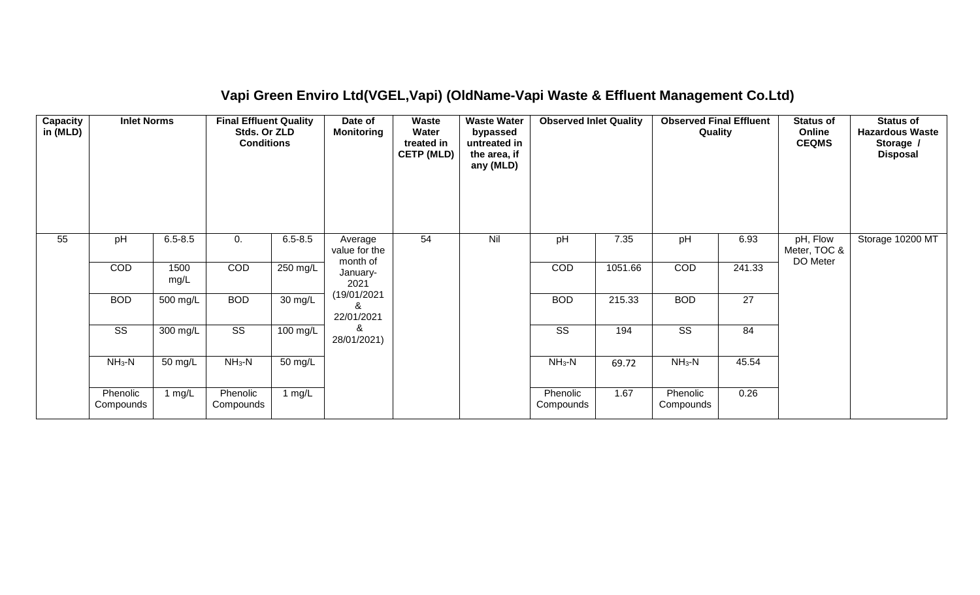## **Vapi Green Enviro Ltd(VGEL,Vapi) (OldName-Vapi Waste & Effluent Management Co.Ltd)**

| <b>Capacity</b><br>in (MLD) | <b>Inlet Norms</b>     |                    | <b>Final Effluent Quality</b><br>Stds. Or ZLD<br><b>Conditions</b> |             | Date of<br><b>Monitoring</b>         | <b>Waste</b><br>Water<br>treated in<br><b>CETP (MLD)</b> | <b>Waste Water</b><br>bypassed<br>untreated in<br>the area, if<br>any (MLD) | <b>Observed Inlet Quality</b> |         | <b>Observed Final Effluent</b><br>Quality |        | <b>Status of</b><br>Online<br><b>CEQMS</b> | <b>Status of</b><br><b>Hazardous Waste</b><br>Storage /<br><b>Disposal</b> |
|-----------------------------|------------------------|--------------------|--------------------------------------------------------------------|-------------|--------------------------------------|----------------------------------------------------------|-----------------------------------------------------------------------------|-------------------------------|---------|-------------------------------------------|--------|--------------------------------------------|----------------------------------------------------------------------------|
| 55                          | pH                     | $6.5 - 8.5$        | 0.                                                                 | $6.5 - 8.5$ | Average<br>value for the<br>month of | 54                                                       | Nil                                                                         | pH                            | 7.35    | pH                                        | 6.93   | pH, Flow<br>Meter, TOC &<br>DO Meter       | Storage 10200 MT                                                           |
|                             | COD                    | 1500<br>mg/L       | COD                                                                | 250 mg/L    | January-<br>2021                     |                                                          |                                                                             | COD                           | 1051.66 | COD                                       | 241.33 |                                            |                                                                            |
|                             | <b>BOD</b>             | 500 mg/L           | <b>BOD</b>                                                         | 30 mg/L     | (19/01/2021<br>8<br>22/01/2021       |                                                          |                                                                             | <b>BOD</b>                    | 215.33  | <b>BOD</b>                                | 27     |                                            |                                                                            |
|                             | $\overline{\text{SS}}$ | $300 \text{ mg/L}$ | $\overline{\text{ss}}$                                             | 100 mg/L    | &<br>28/01/2021)                     |                                                          |                                                                             | $\overline{\text{ss}}$        | 194     | $\overline{\text{SS}}$                    | 84     |                                            |                                                                            |
|                             | $NH3-N$                | 50 mg/L            | $NH3-N$                                                            | 50 mg/L     |                                      |                                                          |                                                                             | $NH3-N$                       | 69.72   | $NH3-N$                                   | 45.54  |                                            |                                                                            |
|                             | Phenolic<br>Compounds  | 1 mg/L             | Phenolic<br>Compounds                                              | 1 $mg/L$    |                                      |                                                          |                                                                             | Phenolic<br>Compounds         | 1.67    | Phenolic<br>Compounds                     | 0.26   |                                            |                                                                            |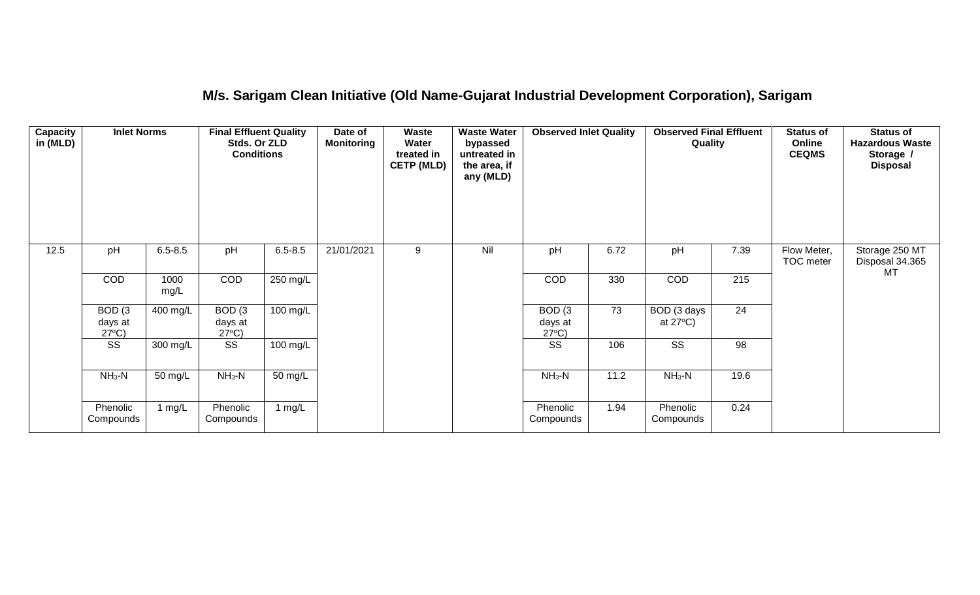## **M/s. Sarigam Clean Initiative (Old Name-Gujarat Industrial Development Corporation), Sarigam**

| <b>Capacity</b><br>in (MLD) | <b>Inlet Norms</b>                              |              | <b>Final Effluent Quality</b><br>Stds. Or ZLD<br><b>Conditions</b> |                      | Date of<br><b>Monitoring</b> | Waste<br>Water<br>treated in<br><b>CETP (MLD)</b> | <b>Waste Water</b><br>bypassed<br>untreated in<br>the area, if<br>any (MLD) | <b>Observed Inlet Quality</b>                   |      | <b>Observed Final Effluent</b><br>Quality |                 | <b>Status of</b><br>Online<br><b>CEQMS</b> | <b>Status of</b><br><b>Hazardous Waste</b><br>Storage /<br><b>Disposal</b> |
|-----------------------------|-------------------------------------------------|--------------|--------------------------------------------------------------------|----------------------|------------------------------|---------------------------------------------------|-----------------------------------------------------------------------------|-------------------------------------------------|------|-------------------------------------------|-----------------|--------------------------------------------|----------------------------------------------------------------------------|
| 12.5                        | pH                                              | $6.5 - 8.5$  | pH                                                                 | $6.5 - 8.5$          | 21/01/2021                   | 9                                                 | Nil                                                                         | pH                                              | 6.72 | pH                                        | 7.39            | Flow Meter,<br>TOC meter                   | Storage 250 MT<br>Disposal 34.365<br>MT                                    |
|                             | <b>COD</b>                                      | 1000<br>mg/L | COD                                                                | $250$ mg/L           |                              |                                                   |                                                                             | COD                                             | 330  | COD                                       | 215             |                                            |                                                                            |
|                             | BOD <sub>(3</sub><br>days at<br>$27^{\circ}C$ ) | 400 mg/L     | BOD <sub>(3</sub><br>days at<br>$27^{\circ}C$ )                    | $100 \text{ mg/L}$   |                              |                                                   |                                                                             | BOD <sub>(3</sub><br>days at<br>$27^{\circ}C$ ) | 73   | BOD (3 days<br>at $27^{\circ}$ C)         | $\overline{24}$ |                                            |                                                                            |
|                             | $\overline{\text{SS}}$                          | 300 mg/L     | $\overline{\text{SS}}$                                             | $100 \text{ mg/L}$   |                              |                                                   |                                                                             | $\overline{\text{ss}}$                          | 106  | $\overline{\text{SS}}$                    | $\overline{98}$ |                                            |                                                                            |
|                             | $NH3-N$                                         | 50 mg/L      | $NH3-N$                                                            | $\overline{50}$ mg/L |                              |                                                   |                                                                             | $NH3-N$                                         | 11.2 | $NH3-N$                                   | 19.6            |                                            |                                                                            |
|                             | Phenolic<br>Compounds                           | 1 mg/L       | Phenolic<br>Compounds                                              | $\lfloor$ mg/L       |                              |                                                   |                                                                             | Phenolic<br>Compounds                           | 1.94 | Phenolic<br>Compounds                     | 0.24            |                                            |                                                                            |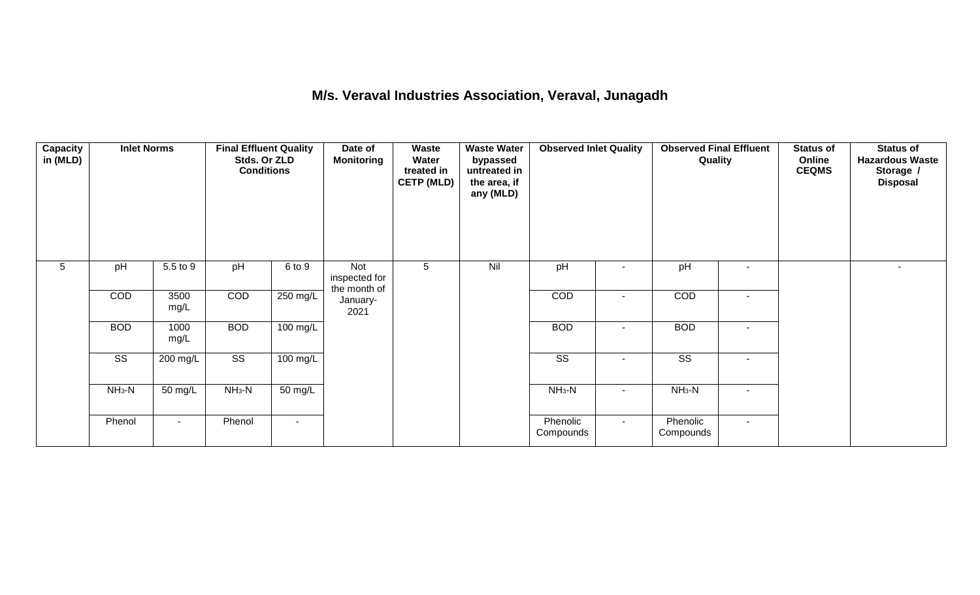#### **M/s. Veraval Industries Association, Veraval, Junagadh**

| Capacity<br>in (MLD) | <b>Inlet Norms</b>     |              | <b>Final Effluent Quality</b><br>Stds. Or ZLD<br><b>Conditions</b> |                | Date of<br><b>Monitoring</b>         | Waste<br>Water<br>treated in<br><b>CETP (MLD)</b> | <b>Waste Water</b><br>bypassed<br>untreated in<br>the area, if<br>any (MLD) | <b>Observed Inlet Quality</b> |                          | <b>Observed Final Effluent</b><br>Quality |                          | <b>Status of</b><br>Online<br><b>CEQMS</b> | <b>Status of</b><br><b>Hazardous Waste</b><br>Storage /<br><b>Disposal</b> |
|----------------------|------------------------|--------------|--------------------------------------------------------------------|----------------|--------------------------------------|---------------------------------------------------|-----------------------------------------------------------------------------|-------------------------------|--------------------------|-------------------------------------------|--------------------------|--------------------------------------------|----------------------------------------------------------------------------|
| $5\phantom{.0}$      | pH                     | 5.5 to 9     | pH                                                                 | 6 to 9         | Not<br>inspected for<br>the month of | 5                                                 | Nil                                                                         | pH                            | $\overline{\phantom{a}}$ | pH                                        | $\overline{\phantom{a}}$ |                                            | $\sim$                                                                     |
|                      | COD                    | 3500<br>mg/L | COD                                                                | 250 mg/L       | January-<br>2021                     |                                                   |                                                                             | COD                           | $\blacksquare$           | COD                                       | $\blacksquare$           |                                            |                                                                            |
|                      | <b>BOD</b>             | 1000<br>mg/L | <b>BOD</b>                                                         | 100 mg/L       |                                      |                                                   |                                                                             | <b>BOD</b>                    | $\blacksquare$           | <b>BOD</b>                                | $\sim$                   |                                            |                                                                            |
|                      | $\overline{\text{ss}}$ | 200 mg/L     | $\overline{\text{ss}}$                                             | 100 mg/L       |                                      |                                                   |                                                                             | $\overline{\text{ss}}$        | $\sim$                   | $\overline{\text{ss}}$                    | $\overline{\phantom{a}}$ |                                            |                                                                            |
|                      | $NH3-N$                | 50 mg/L      | $NH3-N$                                                            | 50 mg/L        |                                      |                                                   |                                                                             | $NH3-N$                       | $\blacksquare$           | $NH3-N$                                   | $\overline{\phantom{a}}$ |                                            |                                                                            |
|                      | Phenol                 | $\sim$       | Phenol                                                             | $\blacksquare$ |                                      |                                                   |                                                                             | Phenolic<br>Compounds         | $\sim$                   | Phenolic<br>Compounds                     | $\sim$                   |                                            |                                                                            |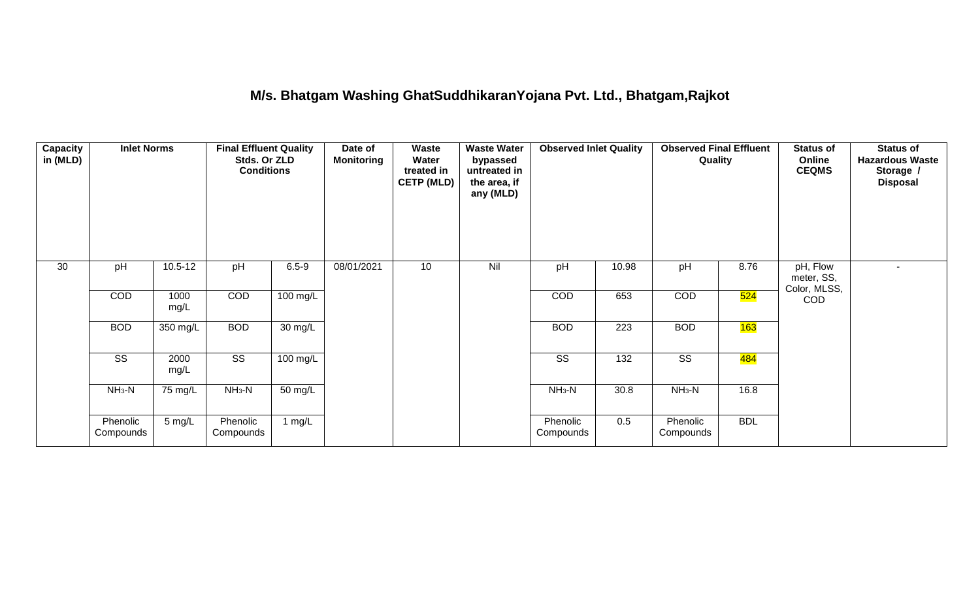## **M/s. Bhatgam Washing GhatSuddhikaranYojana Pvt. Ltd., Bhatgam,Rajkot**

| <b>Capacity</b><br>in (MLD) | <b>Inlet Norms</b>     |                  | <b>Final Effluent Quality</b><br>Stds. Or ZLD<br><b>Conditions</b> |                      | Date of<br><b>Monitoring</b> | Waste<br>Water<br>treated in<br><b>CETP (MLD)</b> | <b>Waste Water</b><br>bypassed<br>untreated in<br>the area, if<br>any (MLD) | <b>Observed Inlet Quality</b> |                  | <b>Observed Final Effluent</b><br>Quality |            | <b>Status of</b><br>Online<br><b>CEQMS</b> | <b>Status of</b><br><b>Hazardous Waste</b><br>Storage /<br><b>Disposal</b> |
|-----------------------------|------------------------|------------------|--------------------------------------------------------------------|----------------------|------------------------------|---------------------------------------------------|-----------------------------------------------------------------------------|-------------------------------|------------------|-------------------------------------------|------------|--------------------------------------------|----------------------------------------------------------------------------|
| 30                          | pH                     | $10.5 - 12$      | pH                                                                 | $6.5 - 9$            | 08/01/2021                   | 10                                                | Nil                                                                         | pH                            | 10.98            | pH                                        | 8.76       | pH, Flow<br>meter, SS,<br>Color, MLSS,     | $\blacksquare$                                                             |
|                             | COD                    | 1000<br>mg/L     | COD                                                                | $100 \text{ mg/L}$   |                              |                                                   |                                                                             | COD                           | 653              | COD                                       | 524        | <b>COD</b>                                 |                                                                            |
|                             | <b>BOD</b>             | 350 mg/L         | <b>BOD</b>                                                         | 30 mg/L              |                              |                                                   |                                                                             | <b>BOD</b>                    | 223              | <b>BOD</b>                                | 163        |                                            |                                                                            |
|                             | $\overline{\text{ss}}$ | 2000<br>mg/L     | $\overline{\text{SS}}$                                             | $100$ mg/L           |                              |                                                   |                                                                             | $\overline{\text{ss}}$        | $\overline{132}$ | $\overline{\text{SS}}$                    | 484        |                                            |                                                                            |
|                             | $NH3-N$                | 75 mg/L          | $NH3-N$                                                            | $\overline{50}$ mg/L |                              |                                                   |                                                                             | $NH3-N$                       | 30.8             | $NH3-N$                                   | 16.8       |                                            |                                                                            |
|                             | Phenolic<br>Compounds  | $5 \text{ mg/L}$ | Phenolic<br>Compounds                                              | 1 mg/L               |                              |                                                   |                                                                             | Phenolic<br>Compounds         | 0.5              | Phenolic<br>Compounds                     | <b>BDL</b> |                                            |                                                                            |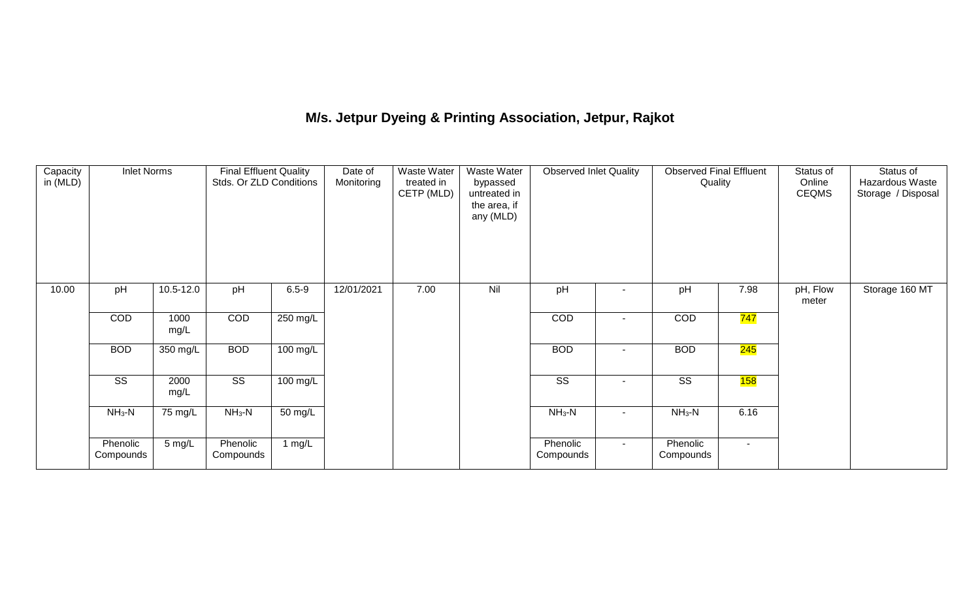# **M/s. Jetpur Dyeing & Printing Association, Jetpur, Rajkot**

| Capacity<br>in (MLD) | <b>Inlet Norms</b>     |                    | <b>Final Effluent Quality</b><br>Stds. Or ZLD Conditions |           | Date of<br>Monitoring | <b>Waste Water</b><br>treated in<br>CETP (MLD) | <b>Waste Water</b><br>bypassed<br>untreated in<br>the area, if<br>any (MLD) | <b>Observed Inlet Quality</b> |                | <b>Observed Final Effluent</b><br>Quality |                  | Status of<br>Online<br><b>CEQMS</b> | Status of<br>Hazardous Waste<br>Storage / Disposal |
|----------------------|------------------------|--------------------|----------------------------------------------------------|-----------|-----------------------|------------------------------------------------|-----------------------------------------------------------------------------|-------------------------------|----------------|-------------------------------------------|------------------|-------------------------------------|----------------------------------------------------|
| 10.00                | pH                     | 10.5-12.0          | pH                                                       | $6.5 - 9$ | 12/01/2021            | 7.00                                           | Nil                                                                         | pH                            |                | pH                                        | 7.98             | pH, Flow<br>meter                   | Storage 160 MT                                     |
|                      | COD<br>1000<br>mg/L    |                    | COD                                                      | 250 mg/L  |                       |                                                |                                                                             | COD                           | $\blacksquare$ | COD                                       | <mark>747</mark> |                                     |                                                    |
|                      | <b>BOD</b>             | $350 \text{ mg/L}$ | <b>BOD</b>                                               | 100 mg/L  |                       |                                                |                                                                             | <b>BOD</b>                    | $\blacksquare$ | <b>BOD</b>                                | 245              |                                     |                                                    |
|                      | $\overline{\text{ss}}$ | 2000<br>mg/L       | $\overline{\text{ss}}$                                   | 100 mg/L  |                       |                                                |                                                                             | $\overline{\text{ss}}$        | $\sim$         | $\overline{\text{SS}}$                    | 158              |                                     |                                                    |
|                      | $NH_3-N$               | 75 mg/L            | $NH_3-N$                                                 | 50 mg/L   |                       |                                                |                                                                             | $NH3-N$                       | $\blacksquare$ | $NH_3-N$                                  | 6.16             |                                     |                                                    |
|                      | Phenolic<br>Compounds  | 5 mg/L             | Phenolic<br>Compounds                                    | 1 $mg/L$  |                       |                                                |                                                                             | Phenolic<br>Compounds         | $\sim$         | Phenolic<br>Compounds                     | $\sim$           |                                     |                                                    |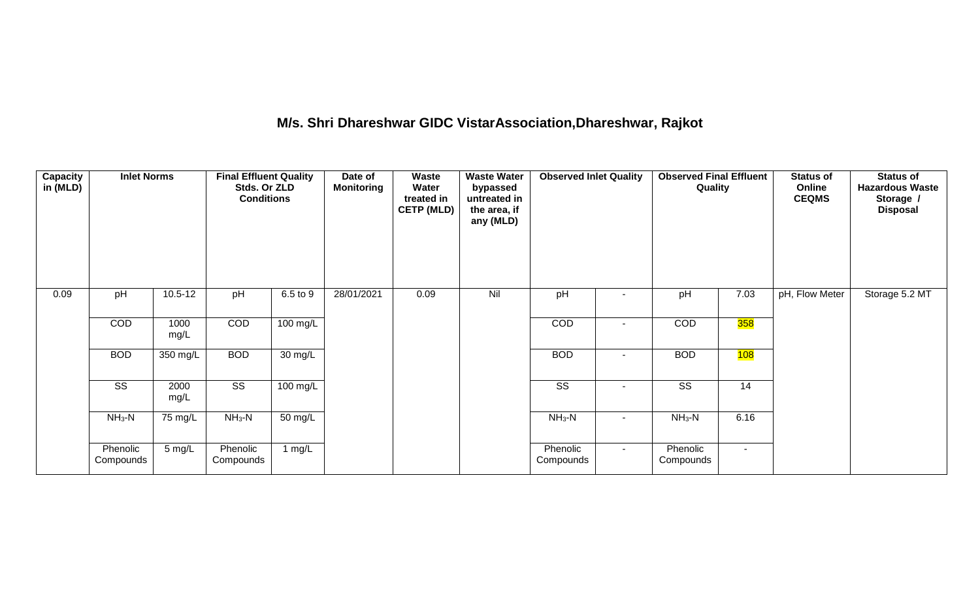# **M/s. Shri Dhareshwar GIDC VistarAssociation,Dhareshwar, Rajkot**

| Capacity<br>in (MLD) | <b>Inlet Norms</b>     |              | <b>Final Effluent Quality</b><br>Stds. Or ZLD<br><b>Conditions</b> |          | Date of<br><b>Monitoring</b> | Waste<br>Water<br>treated in<br><b>CETP (MLD)</b> | <b>Waste Water</b><br>bypassed<br>untreated in<br>the area, if<br>any (MLD) | <b>Observed Inlet Quality</b> |        | <b>Observed Final Effluent</b><br>Quality |                | <b>Status of</b><br>Online<br><b>CEQMS</b> | <b>Status of</b><br><b>Hazardous Waste</b><br>Storage /<br><b>Disposal</b> |
|----------------------|------------------------|--------------|--------------------------------------------------------------------|----------|------------------------------|---------------------------------------------------|-----------------------------------------------------------------------------|-------------------------------|--------|-------------------------------------------|----------------|--------------------------------------------|----------------------------------------------------------------------------|
| 0.09                 | pH                     | $10.5 - 12$  | pH                                                                 | 6.5 to 9 | 28/01/2021                   | 0.09                                              | Nil                                                                         | pH                            |        | pH                                        | 7.03           | pH, Flow Meter                             | Storage 5.2 MT                                                             |
|                      | COD                    | 1000<br>mg/L | COD                                                                | 100 mg/L |                              |                                                   |                                                                             | COD                           |        | <b>COD</b>                                | 358            |                                            |                                                                            |
|                      | <b>BOD</b>             | 350 mg/L     | <b>BOD</b>                                                         | 30 mg/L  |                              |                                                   |                                                                             | <b>BOD</b>                    |        | <b>BOD</b>                                | 108            |                                            |                                                                            |
|                      | $\overline{\text{ss}}$ | 2000<br>mg/L | $\overline{\text{SS}}$                                             | 100 mg/L |                              |                                                   |                                                                             | $\overline{\text{ss}}$        | $\sim$ | $\overline{\text{ss}}$                    | 14             |                                            |                                                                            |
|                      | $NH3-N$                | 75 mg/L      | $NH3-N$                                                            | 50 mg/L  |                              |                                                   |                                                                             | $NH3-N$                       |        | $NH3-N$                                   | 6.16           |                                            |                                                                            |
|                      | Phenolic<br>Compounds  | 5 mg/L       | Phenolic<br>Compounds                                              | 1 $mg/L$ |                              |                                                   |                                                                             | Phenolic<br>Compounds         | $\sim$ | Phenolic<br>Compounds                     | $\blacksquare$ |                                            |                                                                            |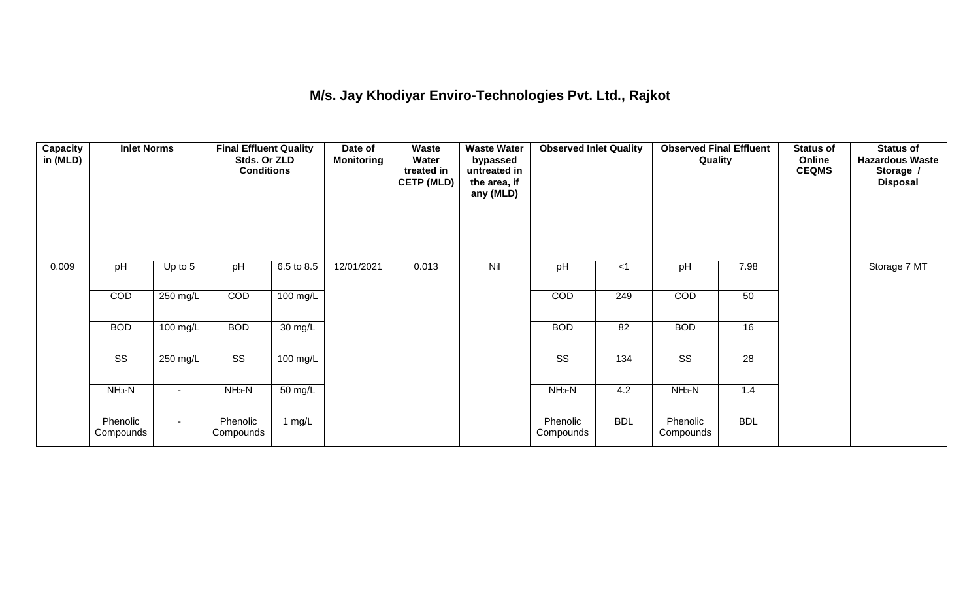## **M/s. Jay Khodiyar Enviro-Technologies Pvt. Ltd., Rajkot**

| <b>Capacity</b><br>in (MLD) | <b>Inlet Norms</b>     |            | <b>Final Effluent Quality</b><br>Stds. Or ZLD<br><b>Conditions</b> |                   | Date of<br><b>Monitoring</b> | Waste<br>Water<br>treated in<br><b>CETP (MLD)</b> | <b>Waste Water</b><br>bypassed<br>untreated in<br>the area, if<br>any (MLD) | <b>Observed Inlet Quality</b> |            | <b>Observed Final Effluent</b><br>Quality |                 | <b>Status of</b><br>Online<br><b>CEQMS</b> | <b>Status of</b><br><b>Hazardous Waste</b><br>Storage /<br><b>Disposal</b> |
|-----------------------------|------------------------|------------|--------------------------------------------------------------------|-------------------|------------------------------|---------------------------------------------------|-----------------------------------------------------------------------------|-------------------------------|------------|-------------------------------------------|-----------------|--------------------------------------------|----------------------------------------------------------------------------|
| 0.009                       | pH                     | Up to $5$  | pH                                                                 | 6.5 to 8.5        | 12/01/2021                   | 0.013                                             | Nil                                                                         | pH                            | $<$ 1      | pH                                        | 7.98            |                                            | Storage 7 MT                                                               |
|                             | COD                    | 250 mg/L   | COD                                                                | 100 mg/L          |                              |                                                   |                                                                             | COD                           | 249        | COD                                       | 50              |                                            |                                                                            |
|                             | <b>BOD</b>             | 100 mg/L   | <b>BOD</b>                                                         | $30 \text{ mg/L}$ |                              |                                                   |                                                                             | <b>BOD</b>                    | 82         | <b>BOD</b>                                | 16              |                                            |                                                                            |
|                             | $\overline{\text{ss}}$ | $250$ mg/L | $\overline{\text{ss}}$                                             | 100 mg/L          |                              |                                                   |                                                                             | $\overline{\text{ss}}$        | 134        | $\overline{\text{ss}}$                    | $\overline{28}$ |                                            |                                                                            |
|                             | $NH3-N$                | $\sim$     | $NH3-N$                                                            | 50 mg/L           |                              |                                                   |                                                                             | $NH3-N$                       | 4.2        | $NH3-N$                                   | 1.4             |                                            |                                                                            |
|                             | Phenolic<br>Compounds  | $\sim$     | Phenolic<br>Compounds                                              | 1 mg/L            |                              |                                                   |                                                                             | Phenolic<br>Compounds         | <b>BDL</b> | Phenolic<br>Compounds                     | <b>BDL</b>      |                                            |                                                                            |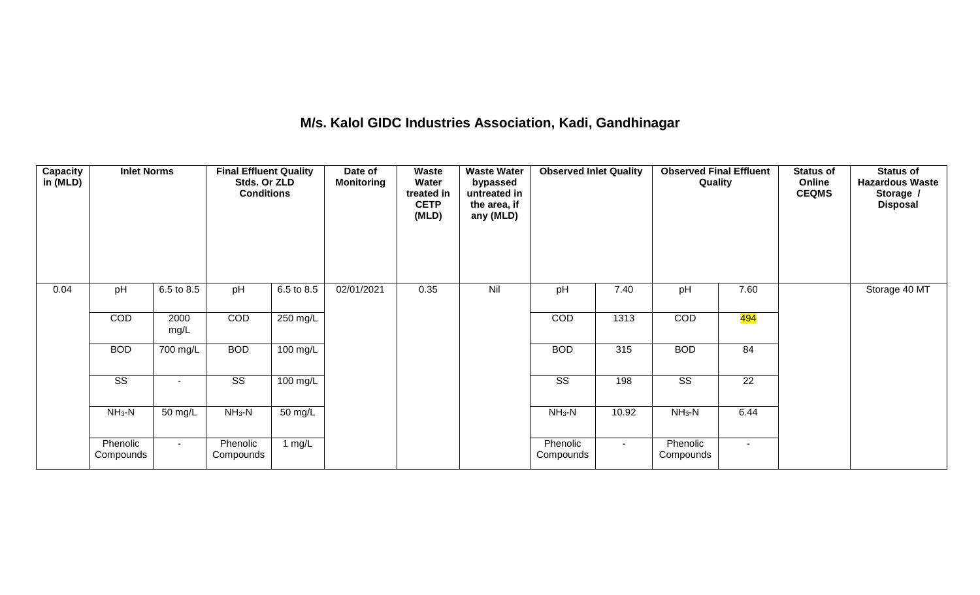#### **M/s. Kalol GIDC Industries Association, Kadi, Gandhinagar**

| Capacity<br>in (MLD) | <b>Inlet Norms</b>     |                    | <b>Final Effluent Quality</b><br>Stds. Or ZLD<br><b>Conditions</b> |                    | Date of<br><b>Monitoring</b> | Waste<br>Water<br>treated in<br><b>CETP</b><br>(MLD) | <b>Waste Water</b><br>bypassed<br>untreated in<br>the area, if<br>any (MLD) | <b>Observed Inlet Quality</b> |        | <b>Observed Final Effluent</b><br>Quality |                  | <b>Status of</b><br>Online<br><b>CEQMS</b> | <b>Status of</b><br><b>Hazardous Waste</b><br>Storage /<br><b>Disposal</b> |
|----------------------|------------------------|--------------------|--------------------------------------------------------------------|--------------------|------------------------------|------------------------------------------------------|-----------------------------------------------------------------------------|-------------------------------|--------|-------------------------------------------|------------------|--------------------------------------------|----------------------------------------------------------------------------|
| 0.04                 | pH                     | 6.5 to 8.5<br>2000 |                                                                    | 6.5 to 8.5         | 02/01/2021                   | 0.35                                                 | Nil                                                                         | pH                            | 7.40   | pH                                        | 7.60             |                                            | Storage 40 MT                                                              |
|                      | COD                    | mg/L               | COD                                                                | 250 mg/L           |                              |                                                      |                                                                             | COD                           | 1313   | COD                                       | <mark>494</mark> |                                            |                                                                            |
|                      | <b>BOD</b>             | 700 mg/L           | <b>BOD</b>                                                         | 100 mg/L           |                              |                                                      |                                                                             | <b>BOD</b>                    | 315    | <b>BOD</b>                                | 84               |                                            |                                                                            |
|                      | $\overline{\text{ss}}$ | $\sim$             | $\overline{\text{ss}}$                                             | $100 \text{ mg/L}$ |                              |                                                      |                                                                             | $\overline{\text{ss}}$        | 198    | $\overline{\text{ss}}$                    | $\overline{22}$  |                                            |                                                                            |
|                      | $NH3-N$                | 50 mg/L            | $NH3-N$                                                            | 50 mg/L            |                              |                                                      |                                                                             | $NH3-N$                       | 10.92  | $NH3-N$                                   | 6.44             |                                            |                                                                            |
|                      | Phenolic<br>Compounds  | $\sim$             | Phenolic<br>Compounds                                              | 1 mg/L             |                              |                                                      |                                                                             | Phenolic<br>Compounds         | $\sim$ | Phenolic<br>Compounds                     | $\sim$           |                                            |                                                                            |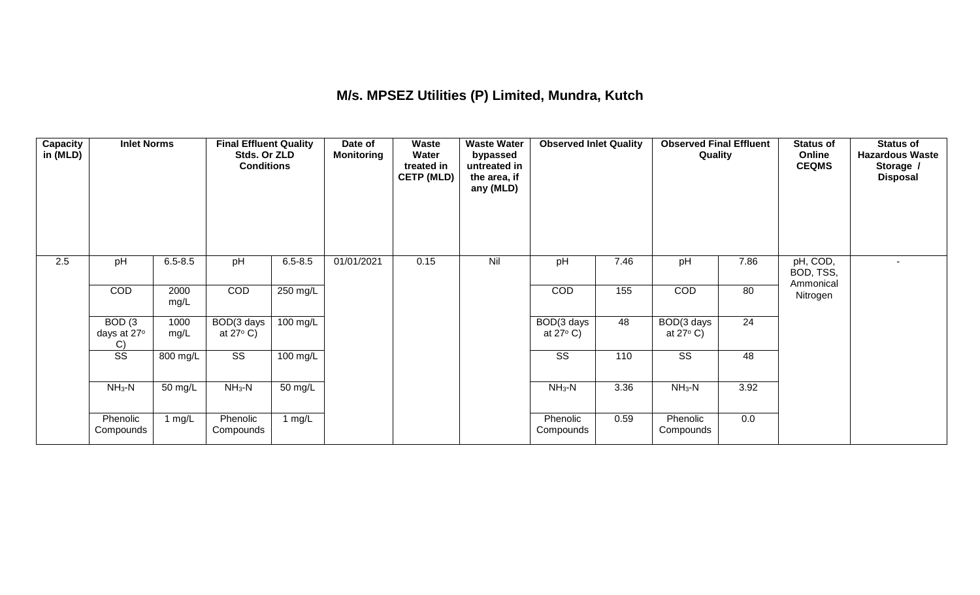#### **M/s. MPSEZ Utilities (P) Limited, Mundra, Kutch**

| Capacity<br>in (MLD) | <b>Inlet Norms</b>          |              | <b>Final Effluent Quality</b><br>Stds. Or ZLD<br><b>Conditions</b> |                    | Date of<br><b>Monitoring</b> | Waste<br>Water<br>treated in<br><b>CETP (MLD)</b> | <b>Waste Water</b><br>bypassed<br>untreated in<br>the area, if<br>any (MLD) | <b>Observed Inlet Quality</b>    |      | <b>Observed Final Effluent</b><br>Quality |      | <b>Status of</b><br>Online<br><b>CEQMS</b> | <b>Status of</b><br><b>Hazardous Waste</b><br>Storage /<br><b>Disposal</b> |
|----------------------|-----------------------------|--------------|--------------------------------------------------------------------|--------------------|------------------------------|---------------------------------------------------|-----------------------------------------------------------------------------|----------------------------------|------|-------------------------------------------|------|--------------------------------------------|----------------------------------------------------------------------------|
| 2.5                  | pH                          | $6.5 - 8.5$  | pH                                                                 | $6.5 - 8.5$        | 01/01/2021                   | 0.15                                              | Nil                                                                         | pH                               | 7.46 | pH                                        | 7.86 | pH, COD,<br>BOD, TSS,                      | $\sim$                                                                     |
|                      | COD                         | 2000<br>mg/L | COD                                                                | $250$ mg/L         |                              |                                                   |                                                                             | COD                              | 155  | COD                                       | 80   | Ammonical<br>Nitrogen                      |                                                                            |
|                      | BOD(3)<br>days at 27°<br>C) | 1000<br>mg/L | BOD(3 days<br>at $27^{\circ}$ C)                                   | $100 \text{ mg/L}$ |                              |                                                   |                                                                             | BOD(3 days<br>at $27^{\circ}$ C) | 48   | BOD(3 days<br>at $27^{\circ}$ C)          | 24   |                                            |                                                                            |
|                      | $\overline{\text{SS}}$      | 800 mg/L     | SS                                                                 | 100 mg/L           |                              |                                                   |                                                                             | SS                               | 110  | SS                                        | 48   |                                            |                                                                            |
|                      | $NH3-N$                     | 50 mg/L      | $NH3-N$                                                            | 50 mg/L            |                              |                                                   |                                                                             | $NH_3-N$                         | 3.36 | $NH3-N$                                   | 3.92 |                                            |                                                                            |
|                      | Phenolic<br>Compounds       | 1 $mg/L$     | Phenolic<br>Compounds                                              | 1 $mg/L$           |                              |                                                   |                                                                             | Phenolic<br>Compounds            | 0.59 | Phenolic<br>Compounds                     | 0.0  |                                            |                                                                            |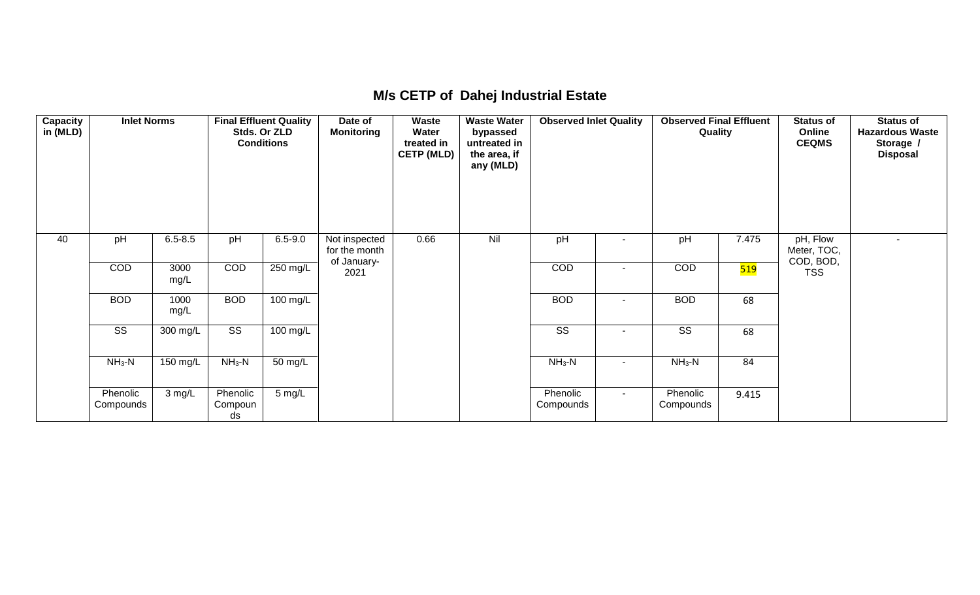#### **M/s CETP of Dahej Industrial Estate**

| <b>Capacity</b><br>in (MLD) | <b>Inlet Norms</b>     |              |                           | <b>Final Effluent Quality</b><br>Stds. Or ZLD<br><b>Conditions</b> | Date of<br><b>Monitoring</b>                  | Waste<br>Water<br>treated in<br><b>CETP (MLD)</b> | <b>Waste Water</b><br>bypassed<br>untreated in<br>the area, if<br>any (MLD) | <b>Observed Inlet Quality</b> |                          | <b>Observed Final Effluent</b><br>Quality |                  | <b>Status of</b><br>Online<br><b>CEQMS</b> | <b>Status of</b><br><b>Hazardous Waste</b><br>Storage /<br><b>Disposal</b> |
|-----------------------------|------------------------|--------------|---------------------------|--------------------------------------------------------------------|-----------------------------------------------|---------------------------------------------------|-----------------------------------------------------------------------------|-------------------------------|--------------------------|-------------------------------------------|------------------|--------------------------------------------|----------------------------------------------------------------------------|
| 40                          | pH                     | $6.5 - 8.5$  | pH                        | $6.5 - 9.0$                                                        | Not inspected<br>for the month<br>of January- | 0.66                                              | Nil                                                                         | pH                            |                          | pH                                        | 7.475            | pH, Flow<br>Meter, TOC,<br>COD, BOD,       |                                                                            |
|                             | COD                    | 3000<br>mg/L | COD                       | 250 mg/L                                                           | 2021                                          |                                                   |                                                                             | COD                           | $\overline{\phantom{a}}$ | <b>COD</b>                                | <mark>519</mark> | <b>TSS</b>                                 |                                                                            |
|                             | <b>BOD</b>             | 1000<br>mg/L | <b>BOD</b>                | $100 \text{ mg/L}$                                                 |                                               |                                                   |                                                                             | <b>BOD</b>                    | ۰                        | <b>BOD</b>                                | 68               |                                            |                                                                            |
|                             | $\overline{\text{SS}}$ | 300 mg/L     | $\overline{\text{SS}}$    | $100 \text{ mg/L}$                                                 |                                               |                                                   |                                                                             | $\overline{\text{SS}}$        | $\overline{\phantom{a}}$ | $\overline{\text{SS}}$                    | 68               |                                            |                                                                            |
|                             | $NH_3-N$               | 150 mg/L     | $NH3-N$                   | $50 \text{ mg/L}$                                                  |                                               |                                                   |                                                                             | $NH3-N$                       | $\blacksquare$           | $NH_3-N$                                  | 84               |                                            |                                                                            |
|                             | Phenolic<br>Compounds  | 3 mg/L       | Phenolic<br>Compoun<br>ds | 5 mg/L                                                             |                                               |                                                   |                                                                             | Phenolic<br>Compounds         | $\blacksquare$           | Phenolic<br>Compounds                     | 9.415            |                                            |                                                                            |